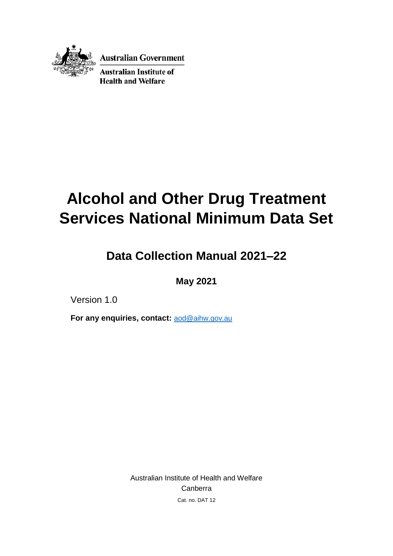

**Australian Government** 

**Australian Institute of Health and Welfare** 

# **Alcohol and Other Drug Treatment Services National Minimum Data Set**

# **Data Collection Manual 2021–22**

## **May 2021**

Version 1.0

**For any enquiries, contact:** [aod@aihw.gov.au](mailto:aod@aihw.gov.au)

Australian Institute of Health and Welfare Canberra Cat. no. DAT 12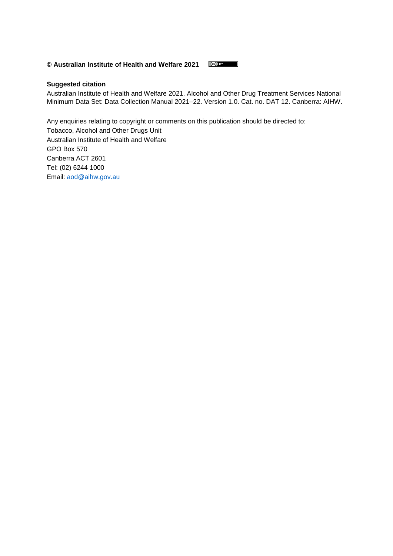#### **© Australian Institute of Health and Welfare 2021**  $\circ$  BY

#### **Suggested citation**

Australian Institute of Health and Welfare 2021. Alcohol and Other Drug Treatment Services National Minimum Data Set: Data Collection Manual 2021–22. Version 1.0. Cat. no. DAT 12. Canberra: AIHW.

Any enquiries relating to copyright or comments on this publication should be directed to: Tobacco, Alcohol and Other Drugs Unit Australian Institute of Health and Welfare GPO Box 570 Canberra ACT 2601 Tel: (02) 6244 1000 Email: [aod@aihw.gov.au](mailto:aod@aihw.gov.au)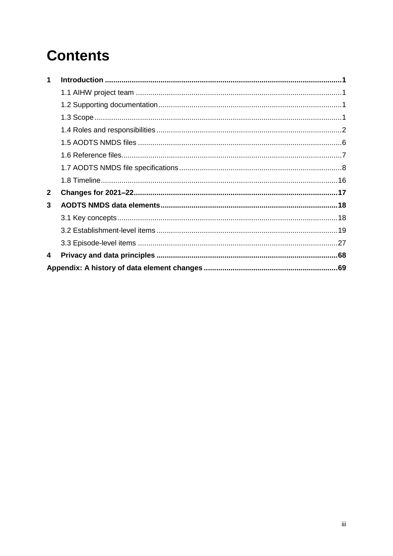# **Contents**

| 1            |  |
|--------------|--|
|              |  |
|              |  |
|              |  |
|              |  |
|              |  |
|              |  |
|              |  |
|              |  |
| $\mathbf{2}$ |  |
| 3            |  |
|              |  |
|              |  |
|              |  |
| 4            |  |
|              |  |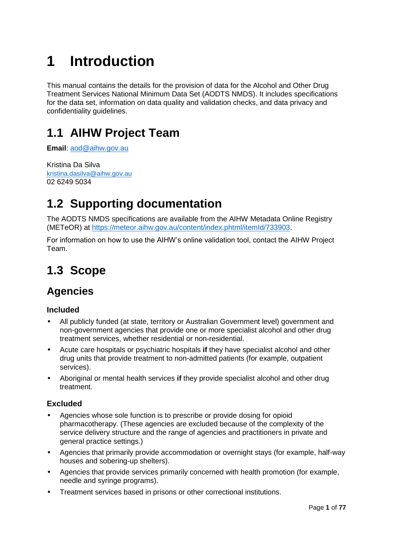# <span id="page-3-0"></span>**1 Introduction**

This manual contains the details for the provision of data for the Alcohol and Other Drug Treatment Services National Minimum Data Set (AODTS NMDS). It includes specifications for the data set, information on data quality and validation checks, and data privacy and confidentiality guidelines.

# <span id="page-3-1"></span>**1.1 AIHW Project Team**

**Email**: [aod@aihw.gov.au](mailto:aod@aihw.gov.au)

Kristina Da Silva [kristina.dasilva@aihw.gov.au](mailto:kristina.dasilva@aihw.gov.au) 02 6249 5034

# <span id="page-3-2"></span>**1.2 Supporting documentation**

The AODTS NMDS specifications are available from the AIHW Metadata Online Registry (METeOR) at [https://meteor.aihw.gov.au/content/index.phtml/itemId/733903.](https://meteor.aihw.gov.au/content/index.phtml/itemId/733903)

For information on how to use the AIHW's online validation tool, contact the AIHW Project Team.

# <span id="page-3-3"></span>**1.3 Scope**

# **Agencies**

#### **Included**

- All publicly funded (at state, territory or Australian Government level) government and non-government agencies that provide one or more specialist alcohol and other drug treatment services, whether residential or non-residential.
- Acute care hospitals or psychiatric hospitals **if** they have specialist alcohol and other drug units that provide treatment to non-admitted patients (for example, outpatient services).
- Aboriginal or mental health services **if** they provide specialist alcohol and other drug treatment.

#### **Excluded**

- Agencies whose sole function is to prescribe or provide dosing for opioid pharmacotherapy. (These agencies are excluded because of the complexity of the service delivery structure and the range of agencies and practitioners in private and general practice settings.)
- Agencies that primarily provide accommodation or overnight stays (for example, half-way houses and sobering-up shelters).
- Agencies that provide services primarily concerned with health promotion (for example, needle and syringe programs).
- Treatment services based in prisons or other correctional institutions.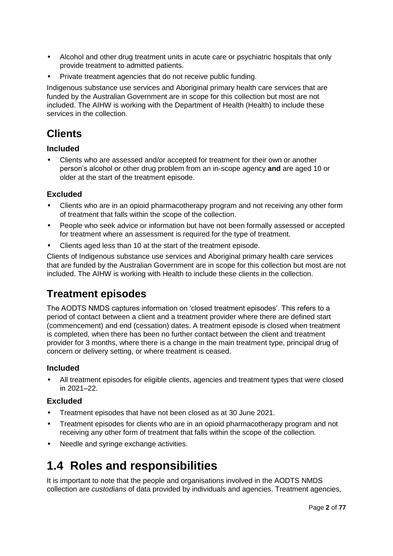- Alcohol and other drug treatment units in acute care or psychiatric hospitals that only provide treatment to admitted patients.
- Private treatment agencies that do not receive public funding.

Indigenous substance use services and Aboriginal primary health care services that are funded by the Australian Government are in scope for this collection but most are not included. The AIHW is working with the Department of Health (Health) to include these services in the collection.

## **Clients**

#### **Included**

• Clients who are assessed and/or accepted for treatment for their own or another person's alcohol or other drug problem from an in-scope agency **and** are aged 10 or older at the start of the treatment episode.

#### **Excluded**

- Clients who are in an opioid pharmacotherapy program and not receiving any other form of treatment that falls within the scope of the collection.
- People who seek advice or information but have not been formally assessed or accepted for treatment where an assessment is required for the type of treatment.
- Clients aged less than 10 at the start of the treatment episode.

Clients of Indigenous substance use services and Aboriginal primary health care services that are funded by the Australian Government are in scope for this collection but most are not included. The AIHW is working with Health to include these clients in the collection.

### **Treatment episodes**

The AODTS NMDS captures information on 'closed treatment episodes'. This refers to a period of contact between a client and a treatment provider where there are defined start (commencement) and end (cessation) dates. A treatment episode is closed when treatment is completed, when there has been no further contact between the client and treatment provider for 3 months, where there is a change in the main treatment type, principal drug of concern or delivery setting, or where treatment is ceased.

#### **Included**

• All treatment episodes for eligible clients, agencies and treatment types that were closed in 2021–22.

#### **Excluded**

- Treatment episodes that have not been closed as at 30 June 2021.
- Treatment episodes for clients who are in an opioid pharmacotherapy program and not receiving any other form of treatment that falls within the scope of the collection.
- Needle and syringe exchange activities.

# <span id="page-4-0"></span>**1.4 Roles and responsibilities**

It is important to note that the people and organisations involved in the AODTS NMDS collection are *custodians* of data provided by individuals and agencies. Treatment agencies,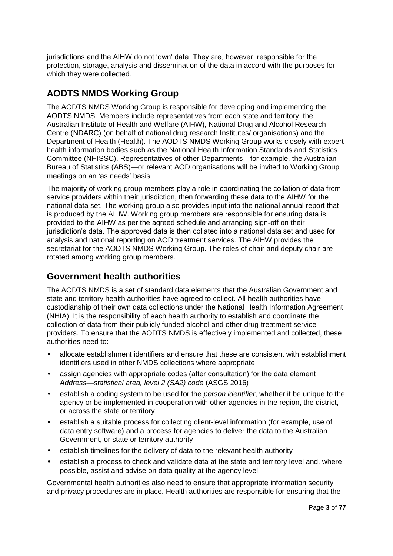jurisdictions and the AIHW do not 'own' data. They are, however, responsible for the protection, storage, analysis and dissemination of the data in accord with the purposes for which they were collected.

### **AODTS NMDS Working Group**

The AODTS NMDS Working Group is responsible for developing and implementing the AODTS NMDS. Members include representatives from each state and territory, the Australian Institute of Health and Welfare (AIHW), National Drug and Alcohol Research Centre (NDARC) (on behalf of national drug research Institutes/ organisations) and the Department of Health (Health). The AODTS NMDS Working Group works closely with expert health information bodies such as the National Health Information Standards and Statistics Committee (NHISSC). Representatives of other Departments—for example, the Australian Bureau of Statistics (ABS)—or relevant AOD organisations will be invited to Working Group meetings on an 'as needs' basis.

The majority of working group members play a role in coordinating the collation of data from service providers within their jurisdiction, then forwarding these data to the AIHW for the national data set. The working group also provides input into the national annual report that is produced by the AIHW. Working group members are responsible for ensuring data is provided to the AIHW as per the agreed schedule and arranging sign-off on their jurisdiction's data. The approved data is then collated into a national data set and used for analysis and national reporting on AOD treatment services. The AIHW provides the secretariat for the AODTS NMDS Working Group. The roles of chair and deputy chair are rotated among working group members.

### **Government health authorities**

The AODTS NMDS is a set of standard data elements that the Australian Government and state and territory health authorities have agreed to collect. All health authorities have custodianship of their own data collections under the National Health Information Agreement (NHIA). It is the responsibility of each health authority to establish and coordinate the collection of data from their publicly funded alcohol and other drug treatment service providers. To ensure that the AODTS NMDS is effectively implemented and collected, these authorities need to:

- allocate establishment identifiers and ensure that these are consistent with establishment identifiers used in other NMDS collections where appropriate
- assign agencies with appropriate codes (after consultation) for the data element *Address—statistical area, level 2 (SA2) code* (ASGS 2016)
- establish a coding system to be used for the *person identifier*, whether it be unique to the agency or be implemented in cooperation with other agencies in the region, the district, or across the state or territory
- establish a suitable process for collecting client-level information (for example, use of data entry software) and a process for agencies to deliver the data to the Australian Government, or state or territory authority
- establish timelines for the delivery of data to the relevant health authority
- establish a process to check and validate data at the state and territory level and, where possible, assist and advise on data quality at the agency level.

Governmental health authorities also need to ensure that appropriate information security and privacy procedures are in place. Health authorities are responsible for ensuring that the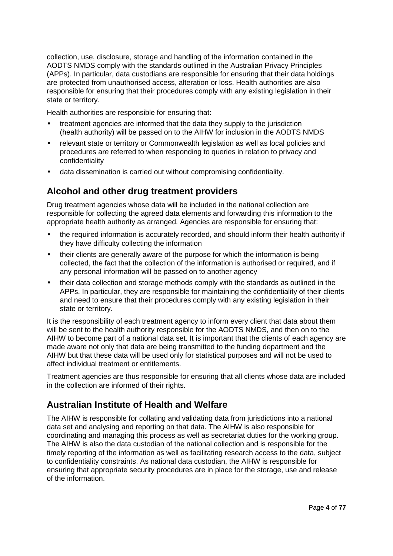collection, use, disclosure, storage and handling of the information contained in the AODTS NMDS comply with the standards outlined in the Australian Privacy Principles (APPs). In particular, data custodians are responsible for ensuring that their data holdings are protected from unauthorised access, alteration or loss. Health authorities are also responsible for ensuring that their procedures comply with any existing legislation in their state or territory.

Health authorities are responsible for ensuring that:

- treatment agencies are informed that the data they supply to the jurisdiction (health authority) will be passed on to the AIHW for inclusion in the AODTS NMDS
- relevant state or territory or Commonwealth legislation as well as local policies and procedures are referred to when responding to queries in relation to privacy and confidentiality
- data dissemination is carried out without compromising confidentiality.

### **Alcohol and other drug treatment providers**

Drug treatment agencies whose data will be included in the national collection are responsible for collecting the agreed data elements and forwarding this information to the appropriate health authority as arranged. Agencies are responsible for ensuring that:

- the required information is accurately recorded, and should inform their health authority if they have difficulty collecting the information
- their clients are generally aware of the purpose for which the information is being collected, the fact that the collection of the information is authorised or required, and if any personal information will be passed on to another agency
- their data collection and storage methods comply with the standards as outlined in the APPs. In particular, they are responsible for maintaining the confidentiality of their clients and need to ensure that their procedures comply with any existing legislation in their state or territory.

It is the responsibility of each treatment agency to inform every client that data about them will be sent to the health authority responsible for the AODTS NMDS, and then on to the AIHW to become part of a national data set. It is important that the clients of each agency are made aware not only that data are being transmitted to the funding department and the AIHW but that these data will be used only for statistical purposes and will not be used to affect individual treatment or entitlements.

Treatment agencies are thus responsible for ensuring that all clients whose data are included in the collection are informed of their rights.

### **Australian Institute of Health and Welfare**

The AIHW is responsible for collating and validating data from jurisdictions into a national data set and analysing and reporting on that data. The AIHW is also responsible for coordinating and managing this process as well as secretariat duties for the working group. The AIHW is also the data custodian of the national collection and is responsible for the timely reporting of the information as well as facilitating research access to the data, subject to confidentiality constraints. As national data custodian, the AIHW is responsible for ensuring that appropriate security procedures are in place for the storage, use and release of the information.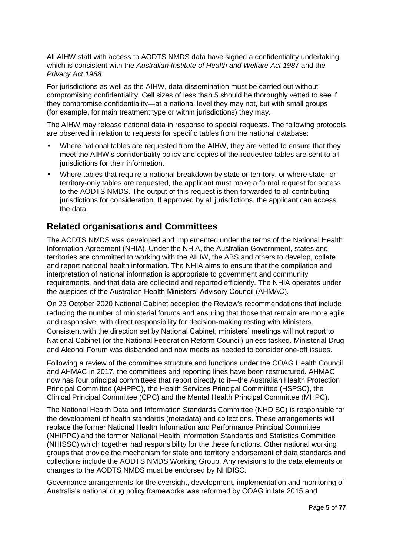All AIHW staff with access to AODTS NMDS data have signed a confidentiality undertaking, which is consistent with the *Australian Institute of Health and Welfare Act 1987* and the *Privacy Act 1988*.

For jurisdictions as well as the AIHW, data dissemination must be carried out without compromising confidentiality. Cell sizes of less than 5 should be thoroughly vetted to see if they compromise confidentiality—at a national level they may not, but with small groups (for example, for main treatment type or within jurisdictions) they may.

The AIHW may release national data in response to special requests. The following protocols are observed in relation to requests for specific tables from the national database:

- Where national tables are requested from the AIHW, they are vetted to ensure that they meet the AIHW's confidentiality policy and copies of the requested tables are sent to all jurisdictions for their information.
- Where tables that require a national breakdown by state or territory, or where state- or territory-only tables are requested, the applicant must make a formal request for access to the AODTS NMDS. The output of this request is then forwarded to all contributing jurisdictions for consideration. If approved by all jurisdictions, the applicant can access the data.

#### **Related organisations and Committees**

The AODTS NMDS was developed and implemented under the terms of the National Health Information Agreement (NHIA). Under the NHIA, the Australian Government, states and territories are committed to working with the AIHW, the ABS and others to develop, collate and report national health information. The NHIA aims to ensure that the compilation and interpretation of national information is appropriate to government and community requirements, and that data are collected and reported efficiently. The NHIA operates under the auspices of the Australian Health Ministers' Advisory Council (AHMAC).

On 23 October 2020 National Cabinet accepted the Review's recommendations that include reducing the number of ministerial forums and ensuring that those that remain are more agile and responsive, with direct responsibility for decision-making resting with Ministers. Consistent with the direction set by National Cabinet, ministers' meetings will not report to National Cabinet (or the National Federation Reform Council) unless tasked. Ministerial Drug and Alcohol Forum was disbanded and now meets as needed to consider one-off issues.

Following a review of the committee structure and functions under the COAG Health Council and AHMAC in 2017, the committees and reporting lines have been restructured. AHMAC now has four principal committees that report directly to it—the Australian Health Protection Principal Committee (AHPPC), the Health Services Principal Committee (HSPSC), the Clinical Principal Committee (CPC) and the Mental Health Principal Committee (MHPC).

The National Health Data and Information Standards Committee (NHDISC) is responsible for the development of health standards (metadata) and collections. These arrangements will replace the former National Health Information and Performance Principal Committee (NHIPPC) and the former National Health Information Standards and Statistics Committee (NHISSC) which together had responsibility for the these functions. Other national working groups that provide the mechanism for state and territory endorsement of data standards and collections include the AODTS NMDS Working Group. Any revisions to the data elements or changes to the AODTS NMDS must be endorsed by NHDISC.

Governance arrangements for the oversight, development, implementation and monitoring of Australia's national drug policy frameworks was reformed by COAG in late 2015 and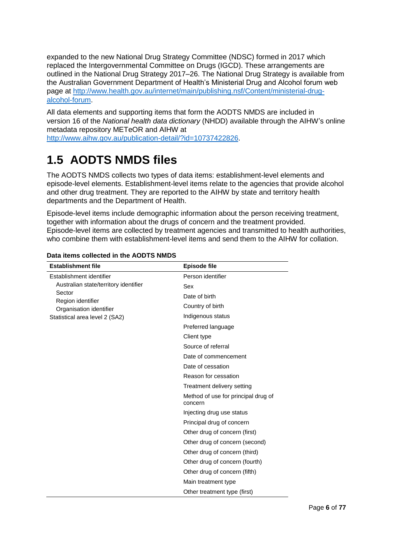expanded to the new National Drug Strategy Committee (NDSC) formed in 2017 which replaced the Intergovernmental Committee on Drugs (IGCD). These arrangements are outlined in the National Drug Strategy 2017–26. The National Drug Strategy is available from the Australian Government Department of Health's Ministerial Drug and Alcohol forum web page at [http://www.health.gov.au/internet/main/publishing.nsf/Content/ministerial-drug](http://www.health.gov.au/internet/main/publishing.nsf/Content/ministerial-drug-alcohol-forum)[alcohol-forum.](http://www.health.gov.au/internet/main/publishing.nsf/Content/ministerial-drug-alcohol-forum)

All data elements and supporting items that form the AODTS NMDS are included in version 16 of the *National health data dictionary* (NHDD) available through the AIHW's online metadata repository METeOR and AIHW at

[http://www.aihw.gov.au/publication-detail/?id=10737422826.](http://www.aihw.gov.au/publication-detail/?id=10737422826)

# <span id="page-8-0"></span>**1.5 AODTS NMDS files**

The AODTS NMDS collects two types of data items: establishment-level elements and episode-level elements. Establishment-level items relate to the agencies that provide alcohol and other drug treatment. They are reported to the AIHW by state and territory health departments and the Department of Health.

Episode-level items include demographic information about the person receiving treatment, together with information about the drugs of concern and the treatment provided. Episode-level items are collected by treatment agencies and transmitted to health authorities, who combine them with establishment-level items and send them to the AIHW for collation.

| <b>Establishment file</b>                    | <b>Episode file</b>                            |
|----------------------------------------------|------------------------------------------------|
| Establishment identifier                     | Person identifier                              |
| Australian state/territory identifier        | Sex                                            |
| Sector                                       | Date of birth                                  |
| Region identifier<br>Organisation identifier | Country of birth                               |
| Statistical area level 2 (SA2)               | Indigenous status                              |
|                                              | Preferred language                             |
|                                              | Client type                                    |
|                                              | Source of referral                             |
|                                              | Date of commencement                           |
|                                              | Date of cessation                              |
|                                              | Reason for cessation                           |
|                                              | Treatment delivery setting                     |
|                                              | Method of use for principal drug of<br>concern |
|                                              | Injecting drug use status                      |
|                                              | Principal drug of concern                      |
|                                              | Other drug of concern (first)                  |
|                                              | Other drug of concern (second)                 |
|                                              | Other drug of concern (third)                  |
|                                              | Other drug of concern (fourth)                 |
|                                              | Other drug of concern (fifth)                  |
|                                              | Main treatment type                            |
|                                              | Other treatment type (first)                   |

#### **Data items collected in the AODTS NMDS**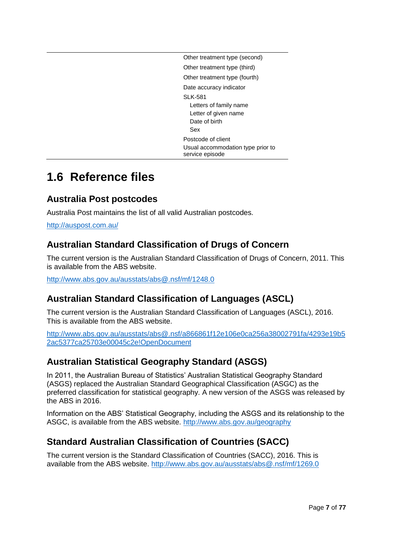| Other treatment type (second)                                                     |
|-----------------------------------------------------------------------------------|
| Other treatment type (third)                                                      |
| Other treatment type (fourth)                                                     |
| Date accuracy indicator                                                           |
| SLK-581<br>Letters of family name<br>Letter of given name<br>Date of birth<br>Sex |
| Postcode of client                                                                |
| Usual accommodation type prior to<br>service episode                              |

# <span id="page-9-0"></span>**1.6 Reference files**

### **Australia Post postcodes**

Australia Post maintains the list of all valid Australian postcodes.

<http://auspost.com.au/>

### **Australian Standard Classification of Drugs of Concern**

The current version is the Australian Standard Classification of Drugs of Concern, 2011. This is available from the ABS website.

<http://www.abs.gov.au/ausstats/abs@.nsf/mf/1248.0>

### **Australian Standard Classification of Languages (ASCL)**

The current version is the Australian Standard Classification of Languages (ASCL), 2016. This is available from the ABS website.

[http://www.abs.gov.au/ausstats/abs@.nsf/a866861f12e106e0ca256a38002791fa/4293e19b5](http://www.abs.gov.au/ausstats/abs@.nsf/a866861f12e106e0ca256a38002791fa/4293e19b52ac5377ca25703e00045c2e!OpenDocument) [2ac5377ca25703e00045c2e!OpenDocument](http://www.abs.gov.au/ausstats/abs@.nsf/a866861f12e106e0ca256a38002791fa/4293e19b52ac5377ca25703e00045c2e!OpenDocument)

### **Australian Statistical Geography Standard (ASGS)**

In 2011, the Australian Bureau of Statistics' Australian Statistical Geography Standard (ASGS) replaced the Australian Standard Geographical Classification (ASGC) as the preferred classification for statistical geography. A new version of the ASGS was released by the ABS in 2016.

Information on the ABS' Statistical Geography, including the ASGS and its relationship to the ASGC, is available from the ABS website. <http://www.abs.gov.au/geography>

### **Standard Australian Classification of Countries (SACC)**

The current version is the Standard Classification of Countries (SACC), 2016. This is available from the ABS website.<http://www.abs.gov.au/ausstats/abs@.nsf/mf/1269.0>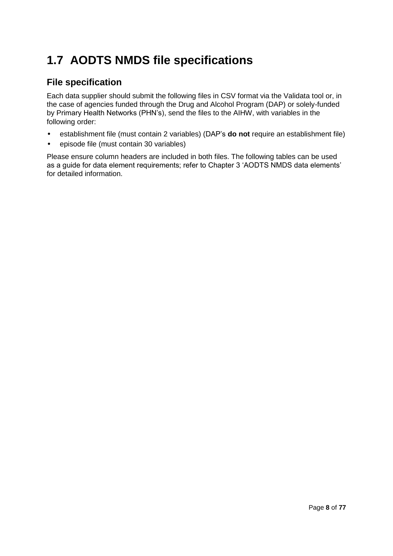# <span id="page-10-0"></span>**1.7 AODTS NMDS file specifications**

### **File specification**

Each data supplier should submit the following files in CSV format via the Validata tool or, in the case of agencies funded through the Drug and Alcohol Program (DAP) or solely-funded by Primary Health Networks (PHN's), send the files to the AIHW, with variables in the following order:

- establishment file (must contain 2 variables) (DAP's **do not** require an establishment file)
- episode file (must contain 30 variables)

Please ensure column headers are included in both files. The following tables can be used as a guide for data element requirements; refer to Chapter 3 'AODTS NMDS data elements' for detailed information.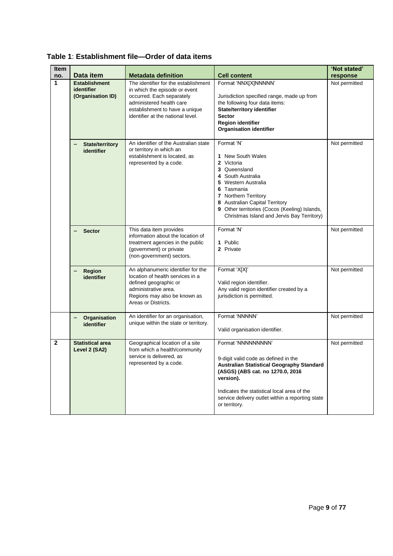| Item           |                                                                      |                                                                                                                                                                                                                                     |                                                                                                                                                                                                                                                                                  | 'Not stated'              |
|----------------|----------------------------------------------------------------------|-------------------------------------------------------------------------------------------------------------------------------------------------------------------------------------------------------------------------------------|----------------------------------------------------------------------------------------------------------------------------------------------------------------------------------------------------------------------------------------------------------------------------------|---------------------------|
| no.<br>1       | Data item<br><b>Establishment</b><br>identifier<br>(Organisation ID) | <b>Metadata definition</b><br>The identifier for the establishment<br>in which the episode or event<br>occurred. Each separately<br>administered health care<br>establishment to have a unique<br>identifier at the national level. | <b>Cell content</b><br>Format 'NNX[X]NNNNN'<br>Jurisdiction specified range, made up from<br>the following four data items:<br><b>State/territory identifier</b><br><b>Sector</b><br><b>Region identifier</b><br><b>Organisation identifier</b>                                  | response<br>Not permitted |
|                | <b>State/territory</b><br>identifier                                 | An identifier of the Australian state<br>or territory in which an<br>establishment is located, as<br>represented by a code.                                                                                                         | Format 'N'<br>1 New South Wales<br>2 Victoria<br>3 Queensland<br>4 South Australia<br>5 Western Australia<br>6 Tasmania<br>7 Northern Territory<br>8 Australian Capital Territory<br>9 Other territories (Cocos (Keeling) Islands,<br>Christmas Island and Jervis Bay Territory) | Not permitted             |
|                | <b>Sector</b>                                                        | This data item provides<br>information about the location of<br>treatment agencies in the public<br>(government) or private<br>(non-government) sectors.                                                                            | Format 'N'<br>1 Public<br>2 Private                                                                                                                                                                                                                                              | Not permitted             |
|                | Region<br>identifier                                                 | An alphanumeric identifier for the<br>location of health services in a<br>defined geographic or<br>administrative area.<br>Regions may also be known as<br>Areas or Districts.                                                      | Format 'X[X]'<br>Valid region identifier.<br>Any valid region identifier created by a<br>jurisdiction is permitted.                                                                                                                                                              | Not permitted             |
|                | Organisation<br>identifier                                           | An identifier for an organisation,<br>unique within the state or territory.                                                                                                                                                         | Format 'NNNNN'<br>Valid organisation identifier.                                                                                                                                                                                                                                 | Not permitted             |
| $\overline{2}$ | <b>Statistical area</b><br>Level 2 (SA2)                             | Geographical location of a site<br>from which a health/community<br>service is delivered, as<br>represented by a code.                                                                                                              | Format 'NNNNNNNNN'<br>9-digit valid code as defined in the<br>Australian Statistical Geography Standard<br>(ASGS) (ABS cat. no 1270.0, 2016<br>version).<br>Indicates the statistical local area of the<br>service delivery outlet within a reporting state<br>or territory.     | Not permitted             |

**Table 1**: **Establishment file—Order of data items**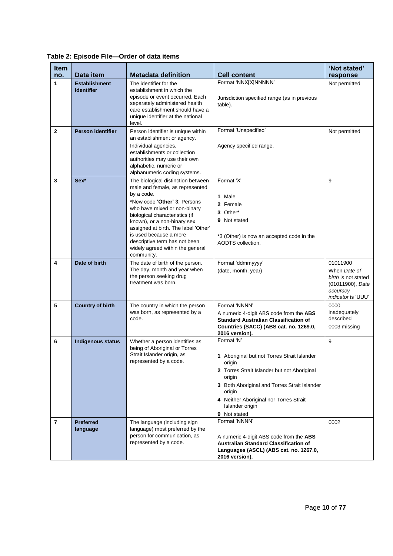| <b>Item</b><br>no. | Data item                          | <b>Metadata definition</b>                                                                                                                                                                                                                                                                                                                                                         | <b>Cell content</b>                                                                                                                                                                                                                                                 | 'Not stated'<br>response                                                                              |
|--------------------|------------------------------------|------------------------------------------------------------------------------------------------------------------------------------------------------------------------------------------------------------------------------------------------------------------------------------------------------------------------------------------------------------------------------------|---------------------------------------------------------------------------------------------------------------------------------------------------------------------------------------------------------------------------------------------------------------------|-------------------------------------------------------------------------------------------------------|
| 1                  | <b>Establishment</b><br>identifier | The identifier for the<br>establishment in which the<br>episode or event occurred. Each<br>separately administered health<br>care establishment should have a<br>unique identifier at the national<br>level.                                                                                                                                                                       | Format 'NNX[X]NNNNN'<br>Jurisdiction specified range (as in previous<br>table).                                                                                                                                                                                     | Not permitted                                                                                         |
| $\mathbf{2}$       | <b>Person identifier</b>           | Person identifier is unique within<br>an establishment or agency.<br>Individual agencies,<br>establishments or collection<br>authorities may use their own<br>alphabetic, numeric or<br>alphanumeric coding systems.                                                                                                                                                               | Format 'Unspecified'<br>Agency specified range.                                                                                                                                                                                                                     | Not permitted                                                                                         |
| 3                  | Sex*                               | The biological distinction between<br>male and female, as represented<br>by a code.<br>*New code ' <b>Other' 3</b> : Persons<br>who have mixed or non-binary<br>biological characteristics (if<br>known), or a non-binary sex<br>assigned at birth. The label 'Other'<br>is used because a more<br>descriptive term has not been<br>widely agreed within the general<br>community. | Format 'X'<br>1 Male<br>2 Female<br>3 Other*<br>9 Not stated<br>*3 (Other) is now an accepted code in the<br>AODTS collection.                                                                                                                                      | 9                                                                                                     |
| 4                  | Date of birth                      | The date of birth of the person.<br>The day, month and year when<br>the person seeking drug<br>treatment was born.                                                                                                                                                                                                                                                                 | Format 'ddmmyyyy'<br>(date, month, year)                                                                                                                                                                                                                            | 01011900<br>When Date of<br>birth is not stated<br>(01011900), Date<br>accuracy<br>indicator is 'UUU' |
| 5                  | <b>Country of birth</b>            | The country in which the person<br>was born, as represented by a<br>code.                                                                                                                                                                                                                                                                                                          | Format 'NNNN'<br>A numeric 4-digit ABS code from the ABS<br><b>Standard Australian Classification of</b><br>Countries (SACC) (ABS cat. no. 1269.0,<br>2016 version).                                                                                                | 0000<br>inadequately<br>described<br>0003 missing                                                     |
| 6                  | <b>Indigenous status</b>           | Whether a person identifies as<br>being of Aboriginal or Torres<br>Strait Islander origin, as<br>represented by a code.                                                                                                                                                                                                                                                            | Format 'N'<br>1 Aboriginal but not Torres Strait Islander<br>origin<br>2 Torres Strait Islander but not Aboriginal<br>origin<br>3 Both Aboriginal and Torres Strait Islander<br>origin<br>4 Neither Aboriginal nor Torres Strait<br>Islander origin<br>9 Not stated | 9                                                                                                     |
| 7                  | <b>Preferred</b><br>language       | The language (including sign<br>language) most preferred by the<br>person for communication, as<br>represented by a code.                                                                                                                                                                                                                                                          | Format 'NNNN'<br>A numeric 4-digit ABS code from the ABS<br>Australian Standard Classification of<br>Languages (ASCL) (ABS cat. no. 1267.0,<br>2016 version).                                                                                                       | 0002                                                                                                  |

**Table 2: Episode File—Order of data items**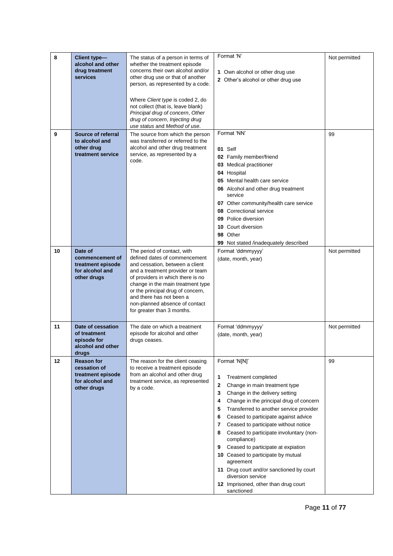| 8  | Client type-<br>alcohol and other<br>drug treatment<br>services                          | The status of a person in terms of<br>whether the treatment episode<br>concerns their own alcohol and/or<br>other drug use or that of another<br>person, as represented by a code.<br>Where Client type is coded 2, do<br>not collect (that is, leave blank)<br>Principal drug of concern, Other<br>drug of concern, Injecting drug<br>use status and Method of use. | Format 'N'<br>1 Own alcohol or other drug use<br>2 Other's alcohol or other drug use                                                                                                                                                                                                                                                                                                                                                                                                                                                                                                                        | Not permitted |
|----|------------------------------------------------------------------------------------------|----------------------------------------------------------------------------------------------------------------------------------------------------------------------------------------------------------------------------------------------------------------------------------------------------------------------------------------------------------------------|-------------------------------------------------------------------------------------------------------------------------------------------------------------------------------------------------------------------------------------------------------------------------------------------------------------------------------------------------------------------------------------------------------------------------------------------------------------------------------------------------------------------------------------------------------------------------------------------------------------|---------------|
| 9  | Source of referral<br>to alcohol and<br>other drug<br>treatment service                  | The source from which the person<br>was transferred or referred to the<br>alcohol and other drug treatment<br>service, as represented by a<br>code.                                                                                                                                                                                                                  | Format 'NN'<br>01 Self<br>02 Family member/friend<br>03 Medical practitioner<br>04 Hospital<br>05 Mental health care service<br>06 Alcohol and other drug treatment<br>service<br>07 Other community/health care service<br>Correctional service<br>08<br>09 Police diversion<br>Court diversion<br>10<br>Other<br>98<br>Not stated /inadequately described<br>99                                                                                                                                                                                                                                           | 99            |
| 10 | Date of<br>commencement of<br>treatment episode<br>for alcohol and<br>other drugs        | The period of contact, with<br>defined dates of commencement<br>and cessation, between a client<br>and a treatment provider or team<br>of providers in which there is no<br>change in the main treatment type<br>or the principal drug of concern,<br>and there has not been a<br>non-planned absence of contact<br>for greater than 3 months.                       | Format 'ddmmyyyy'<br>(date, month, year)                                                                                                                                                                                                                                                                                                                                                                                                                                                                                                                                                                    | Not permitted |
| 11 | Date of cessation<br>of treatment<br>episode for<br>alcohol and other<br>drugs           | The date on which a treatment<br>episode for alcohol and other<br>drugs ceases.                                                                                                                                                                                                                                                                                      | Format 'ddmmyyyy'<br>(date, month, year)                                                                                                                                                                                                                                                                                                                                                                                                                                                                                                                                                                    | Not permitted |
| 12 | <b>Reason for</b><br>cessation of<br>treatment episode<br>for alcohol and<br>other drugs | The reason for the client ceasing<br>to receive a treatment episode<br>from an alcohol and other drug<br>treatment service, as represented<br>by a code.                                                                                                                                                                                                             | Format 'N[N]'<br>1<br><b>Treatment completed</b><br>2<br>Change in main treatment type<br>3<br>Change in the delivery setting<br>Change in the principal drug of concern<br>4<br>Transferred to another service provider<br>5<br>Ceased to participate against advice<br>6<br>Ceased to participate without notice<br>7<br>Ceased to participate involuntary (non-<br>8<br>compliance)<br>Ceased to participate at expiation<br>9<br>10 Ceased to participate by mutual<br>agreement<br>11 Drug court and/or sanctioned by court<br>diversion service<br>12 Imprisoned, other than drug court<br>sanctioned | 99            |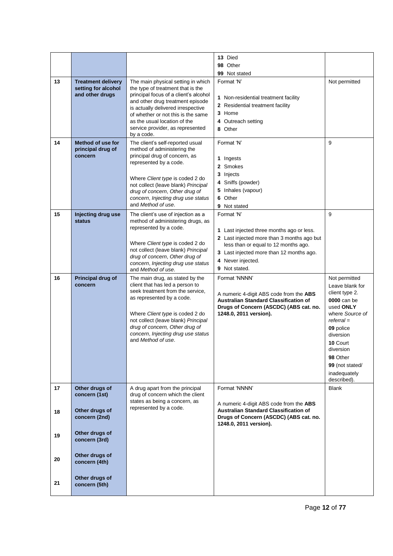|          |                                                                     |                                                                                                                                                                                                                                                                                                                    | 13 Died<br>98 Other<br>99 Not stated                                                                                                                                                                                            |                                                                                                                                                                                                    |
|----------|---------------------------------------------------------------------|--------------------------------------------------------------------------------------------------------------------------------------------------------------------------------------------------------------------------------------------------------------------------------------------------------------------|---------------------------------------------------------------------------------------------------------------------------------------------------------------------------------------------------------------------------------|----------------------------------------------------------------------------------------------------------------------------------------------------------------------------------------------------|
| 13       | <b>Treatment delivery</b><br>setting for alcohol<br>and other drugs | The main physical setting in which<br>the type of treatment that is the<br>principal focus of a client's alcohol<br>and other drug treatment episode<br>is actually delivered irrespective<br>of whether or not this is the same<br>as the usual location of the<br>service provider, as represented<br>by a code. | Format 'N'<br>1 Non-residential treatment facility<br>2 Residential treatment facility<br>3 Home<br>4 Outreach setting<br>8 Other                                                                                               | Not permitted                                                                                                                                                                                      |
| 14       | <b>Method of use for</b><br>principal drug of<br>concern            | The client's self-reported usual<br>method of administering the<br>principal drug of concern, as<br>represented by a code.<br>Where Client type is coded 2 do<br>not collect (leave blank) Principal<br>drug of concern, Other drug of<br>concern, Injecting drug use status<br>and Method of use.                 | Format 'N'<br>1 Ingests<br>2 Smokes<br>3 Injects<br>4 Sniffs (powder)<br>5 Inhales (vapour)<br>6 Other<br><b>9</b> Not stated                                                                                                   | 9                                                                                                                                                                                                  |
| 15       | Injecting drug use<br><b>status</b>                                 | The client's use of injection as a<br>method of administering drugs, as<br>represented by a code.<br>Where Client type is coded 2 do<br>not collect (leave blank) Principal<br>drug of concern, Other drug of<br>concern, Injecting drug use status<br>and Method of use.                                          | Format 'N'<br>1 Last injected three months ago or less.<br>2 Last injected more than 3 months ago but<br>less than or equal to 12 months ago.<br>3 Last injected more than 12 months ago.<br>4 Never injected.<br>9 Not stated. | 9                                                                                                                                                                                                  |
| 16       | <b>Principal drug of</b>                                            | The main drug, as stated by the                                                                                                                                                                                                                                                                                    | Format 'NNNN'                                                                                                                                                                                                                   | Not permitted                                                                                                                                                                                      |
|          | concern                                                             | client that has led a person to<br>seek treatment from the service,<br>as represented by a code.<br>Where Client type is coded 2 do<br>not collect (leave blank) Principal<br>drug of concern, Other drug of<br>concern, Injecting drug use status<br>and Method of use.                                           | A numeric 4-digit ABS code from the ABS<br>Australian Standard Classification of<br>Drugs of Concern (ASCDC) (ABS cat. no.<br>1248.0, 2011 version).                                                                            | Leave blank for<br>client type 2.<br>0000 can be<br>used ONLY<br>where Source of<br>$referral =$<br>09 police<br>diversion<br>10 Court<br>diversion<br>98 Other<br>99 (not stated/<br>inadequately |
| 17       | Other drugs of<br>concern (1st)                                     | A drug apart from the principal<br>drug of concern which the client<br>states as being a concern, as<br>represented by a code.                                                                                                                                                                                     | Format 'NNNN'<br>A numeric 4-digit ABS code from the ABS<br><b>Australian Standard Classification of</b>                                                                                                                        | described).<br><b>Blank</b>                                                                                                                                                                        |
| 18<br>19 | Other drugs of<br>concern (2nd)<br>Other drugs of<br>concern (3rd)  |                                                                                                                                                                                                                                                                                                                    | Drugs of Concern (ASCDC) (ABS cat. no.<br>1248.0, 2011 version).                                                                                                                                                                |                                                                                                                                                                                                    |
| 20       | Other drugs of<br>concern (4th)                                     |                                                                                                                                                                                                                                                                                                                    |                                                                                                                                                                                                                                 |                                                                                                                                                                                                    |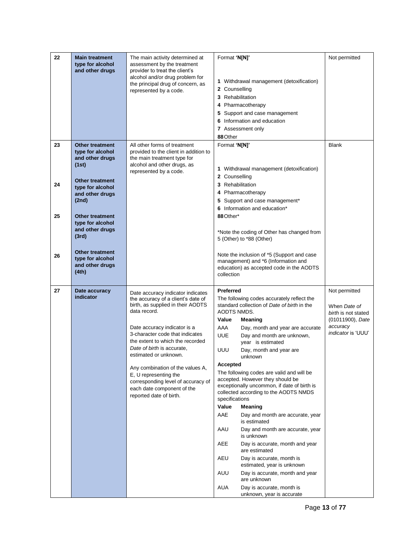| 22 | <b>Main treatment</b><br>type for alcohol<br>and other drugs                                     | The main activity determined at<br>assessment by the treatment<br>provider to treat the client's<br>alcohol and/or drug problem for<br>the principal drug of concern, as<br>represented by a code. | Format 'N[N]'<br>2 Counselling<br>88 Other      | 1 Withdrawal management (detoxification)<br>3 Rehabilitation<br>4 Pharmacotherapy<br>5 Support and case management<br>6 Information and education<br>7 Assessment only                      | Not permitted                                                            |
|----|--------------------------------------------------------------------------------------------------|----------------------------------------------------------------------------------------------------------------------------------------------------------------------------------------------------|-------------------------------------------------|---------------------------------------------------------------------------------------------------------------------------------------------------------------------------------------------|--------------------------------------------------------------------------|
| 23 | <b>Other treatment</b><br>type for alcohol<br>and other drugs<br>(1st)<br><b>Other treatment</b> | All other forms of treatment<br>provided to the client in addition to<br>the main treatment type for<br>alcohol and other drugs, as<br>represented by a code.                                      | Format 'N[N]'<br>2 Counselling                  | 1 Withdrawal management (detoxification)                                                                                                                                                    | <b>Blank</b>                                                             |
| 24 | type for alcohol<br>and other drugs<br>(2nd)                                                     |                                                                                                                                                                                                    |                                                 | 3 Rehabilitation<br>4 Pharmacotherapy<br>5 Support and case management*<br>6 Information and education*                                                                                     |                                                                          |
| 25 | <b>Other treatment</b><br>type for alcohol<br>and other drugs<br>(3rd)                           |                                                                                                                                                                                                    | 88 Other*                                       | *Note the coding of Other has changed from<br>5 (Other) to *88 (Other)                                                                                                                      |                                                                          |
| 26 | <b>Other treatment</b><br>type for alcohol<br>and other drugs<br>(4th)                           |                                                                                                                                                                                                    | collection                                      | Note the inclusion of *5 (Support and case<br>management) and *6 (Information and<br>education) as accepted code in the AODTS                                                               |                                                                          |
| 27 | Date accuracy<br>indicator                                                                       | Date accuracy indicator indicates<br>the accuracy of a client's date of<br>birth, as supplied in their AODTS<br>data record.                                                                       | <b>Preferred</b><br><b>AODTS NMDS.</b><br>Value | The following codes accurately reflect the<br>standard collection of Date of birth in the<br>Meaning                                                                                        | Not permitted<br>When Date of<br>birth is not stated<br>(01011900), Date |
|    |                                                                                                  | Date accuracy indicator is a<br>3-character code that indicates<br>the extent to which the recorded<br>Date of birth is accurate,                                                                  | AAA<br><b>UUE</b><br>UUU                        | Day, month and year are accurate<br>Day and month are unknown,<br>year is estimated<br>Day, month and year are                                                                              | accuracy<br><i>indicator</i> is 'UUU'                                    |
|    |                                                                                                  | estimated or unknown.<br>Any combination of the values A,<br>E, U representing the<br>corresponding level of accuracy of<br>each date component of the<br>reported date of birth.                  | Accepted<br>specifications<br>Value             | unknown<br>The following codes are valid and will be<br>accepted. However they should be<br>exceptionally uncommon, if date of birth is<br>collected according to the AODTS NMDS<br>Meaning |                                                                          |
|    |                                                                                                  |                                                                                                                                                                                                    | AAE                                             | Day and month are accurate, year<br>is estimated                                                                                                                                            |                                                                          |
|    |                                                                                                  |                                                                                                                                                                                                    | AAU                                             | Day and month are accurate, year<br>is unknown                                                                                                                                              |                                                                          |
|    |                                                                                                  |                                                                                                                                                                                                    | AEE                                             | Day is accurate, month and year<br>are estimated                                                                                                                                            |                                                                          |
|    |                                                                                                  |                                                                                                                                                                                                    | AEU                                             | Day is accurate, month is<br>estimated, year is unknown                                                                                                                                     |                                                                          |
|    |                                                                                                  |                                                                                                                                                                                                    | AUU                                             | Day is accurate, month and year<br>are unknown                                                                                                                                              |                                                                          |
|    |                                                                                                  |                                                                                                                                                                                                    | <b>AUA</b>                                      | Day is accurate, month is<br>unknown, year is accurate                                                                                                                                      |                                                                          |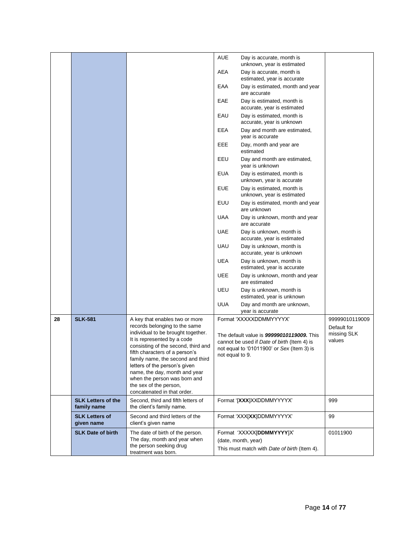|    |                                     |                                                                     | <b>AUE</b>      | Day is accurate, month is<br>unknown, year is estimated   |                               |
|----|-------------------------------------|---------------------------------------------------------------------|-----------------|-----------------------------------------------------------|-------------------------------|
|    |                                     |                                                                     | AEA             | Day is accurate, month is<br>estimated, year is accurate  |                               |
|    |                                     |                                                                     | EAA             | Day is estimated, month and year<br>are accurate          |                               |
|    |                                     |                                                                     | EAE             | Day is estimated, month is<br>accurate, year is estimated |                               |
|    |                                     |                                                                     | EAU             | Day is estimated, month is<br>accurate, year is unknown   |                               |
|    |                                     |                                                                     | EEA             | Day and month are estimated,<br>year is accurate          |                               |
|    |                                     |                                                                     | EEE             | Day, month and year are<br>estimated                      |                               |
|    |                                     |                                                                     | EEU             | Day and month are estimated,<br>year is unknown           |                               |
|    |                                     |                                                                     | <b>EUA</b>      | Day is estimated, month is<br>unknown, year is accurate   |                               |
|    |                                     |                                                                     | <b>EUE</b>      | Day is estimated, month is<br>unknown, year is estimated  |                               |
|    |                                     |                                                                     | EUU             | Day is estimated, month and year<br>are unknown           |                               |
|    |                                     |                                                                     | <b>UAA</b>      | Day is unknown, month and year<br>are accurate            |                               |
|    |                                     |                                                                     | <b>UAE</b>      | Day is unknown, month is<br>accurate, year is estimated   |                               |
|    |                                     |                                                                     | UAU             | Day is unknown, month is<br>accurate, year is unknown     |                               |
|    |                                     |                                                                     | UEA             | Day is unknown, month is<br>estimated, year is accurate   |                               |
|    |                                     |                                                                     | <b>UEE</b>      | Day is unknown, month and year<br>are estimated           |                               |
|    |                                     |                                                                     | UEU             | Day is unknown, month is<br>estimated, year is unknown    |                               |
|    |                                     |                                                                     | <b>UUA</b>      | Day and month are unknown,<br>year is accurate            |                               |
| 28 | <b>SLK-581</b>                      | A key that enables two or more<br>records belonging to the same     |                 | Format 'XXXXXDDMMYYYYX'                                   | 99999010119009<br>Default for |
|    |                                     | individual to be brought together.                                  |                 | The default value is 99999010119009. This                 | missing SLK                   |
|    |                                     | It is represented by a code<br>consisting of the second, third and  |                 | cannot be used if Date of birth (Item 4) is               | values                        |
|    |                                     | fifth characters of a person's<br>family name, the second and third | not equal to 9. | not equal to '01011900' or $Sex$ (Item 3) is              |                               |
|    |                                     | letters of the person's given                                       |                 |                                                           |                               |
|    |                                     | name, the day, month and year<br>when the person was born and       |                 |                                                           |                               |
|    |                                     | the sex of the person,                                              |                 |                                                           |                               |
|    | <b>SLK Letters of the</b>           | concatenated in that order.<br>Second, third and fifth letters of   |                 |                                                           | 999                           |
|    | family name                         | the client's family name.                                           |                 | Format '[XXX]XXDDMMYYYYX'                                 |                               |
|    | <b>SLK Letters of</b><br>given name | Second and third letters of the<br>client's given name              |                 | Format 'XXX[XX]DDMMYYYYX'                                 | 99                            |
|    | <b>SLK Date of birth</b>            | The date of birth of the person.                                    |                 | Format 'XXXXX[DDMMYYYY]X'                                 | 01011900                      |
|    |                                     | The day, month and year when<br>the person seeking drug             |                 | (date, month, year)                                       |                               |
|    |                                     | treatment was born.                                                 |                 | This must match with Date of birth (Item 4).              |                               |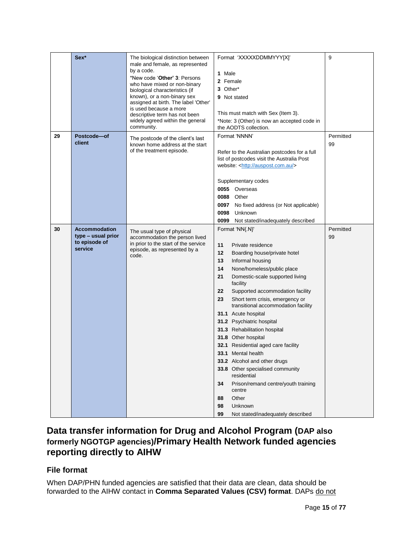|    | Sex*                                                                   | The biological distinction between<br>male and female, as represented<br>by a code.<br>*New code 'Other' 3: Persons<br>who have mixed or non-binary<br>biological characteristics (if<br>known), or a non-binary sex<br>assigned at birth. The label 'Other'<br>is used because a more<br>descriptive term has not been<br>widely agreed within the general<br>community. | Format 'XXXXXDDMMYYY[X]'<br>1 Male<br>2 Female<br>3 Other*<br>9 Not stated<br>This must match with Sex (Item 3).<br>*Note: 3 (Other) is now an accepted code in<br>the AODTS collection.                                                                                                                                                                                                                                                                                                                                                                                                                                                                                                                                   | 9               |
|----|------------------------------------------------------------------------|---------------------------------------------------------------------------------------------------------------------------------------------------------------------------------------------------------------------------------------------------------------------------------------------------------------------------------------------------------------------------|----------------------------------------------------------------------------------------------------------------------------------------------------------------------------------------------------------------------------------------------------------------------------------------------------------------------------------------------------------------------------------------------------------------------------------------------------------------------------------------------------------------------------------------------------------------------------------------------------------------------------------------------------------------------------------------------------------------------------|-----------------|
| 29 | Postcode-of<br>client                                                  | The postcode of the client's last<br>known home address at the start<br>of the treatment episode.                                                                                                                                                                                                                                                                         | Format 'NNNN'<br>Refer to the Australian postcodes for a full<br>list of postcodes visit the Australia Post<br>website: <http: auspost.com.au=""></http:><br>Supplementary codes<br>0055 Overseas<br><b>0088</b> Other<br>0097<br>No fixed address (or Not applicable)<br>0098<br>Unknown<br>0099<br>Not stated/inadequately described                                                                                                                                                                                                                                                                                                                                                                                     | Permitted<br>99 |
| 30 | <b>Accommodation</b><br>type – usual prior<br>to episode of<br>service | The usual type of physical<br>accommodation the person lived<br>in prior to the start of the service<br>episode, as represented by a<br>code.                                                                                                                                                                                                                             | Format 'NN{.N}'<br>11<br>Private residence<br>12<br>Boarding house/private hotel<br>13<br>Informal housing<br>14<br>None/homeless/public place<br>21<br>Domestic-scale supported living<br>facility<br>Supported accommodation facility<br>22<br>Short term crisis, emergency or<br>23<br>transitional accommodation facility<br>31.1 Acute hospital<br>31.2 Psychiatric hospital<br>31.3 Rehabilitation hospital<br>31.8 Other hospital<br>32.1 Residential aged care facility<br>33.1 Mental health<br>33.2 Alcohol and other drugs<br>33.8 Other specialised community<br>residential<br>Prison/remand centre/youth training<br>34<br>centre<br>Other<br>88<br>Unknown<br>98<br>99<br>Not stated/inadequately described | Permitted<br>99 |

### **Data transfer information for Drug and Alcohol Program (DAP also formerly NGOTGP agencies)/Primary Health Network funded agencies reporting directly to AIHW**

#### **File format**

When DAP/PHN funded agencies are satisfied that their data are clean, data should be forwarded to the AIHW contact in **Comma Separated Values (CSV) format**. DAPs do not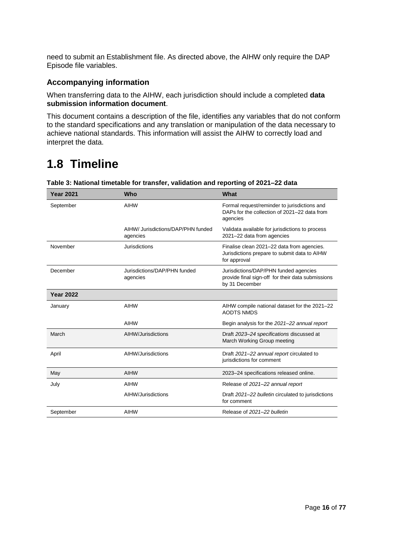need to submit an Establishment file. As directed above, the AIHW only require the DAP Episode file variables.

#### **Accompanying information**

When transferring data to the AIHW, each jurisdiction should include a completed **data submission information document**.

This document contains a description of the file, identifies any variables that do not conform to the standard specifications and any translation or manipulation of the data necessary to achieve national standards. This information will assist the AIHW to correctly load and interpret the data.

# <span id="page-18-0"></span>**1.8 Timeline**

| <b>Year 2021</b> | Who                                            | What                                                                                                         |
|------------------|------------------------------------------------|--------------------------------------------------------------------------------------------------------------|
| September        | AIHW                                           | Formal request/reminder to jurisdictions and<br>DAPs for the collection of 2021-22 data from<br>agencies     |
|                  | AIHW/ Jurisdictions/DAP/PHN funded<br>agencies | Validata available for jurisdictions to process<br>2021-22 data from agencies                                |
| November         | Jurisdictions                                  | Finalise clean 2021-22 data from agencies.<br>Jurisdictions prepare to submit data to AIHW<br>for approval   |
| December         | Jurisdictions/DAP/PHN funded<br>agencies       | Jurisdictions/DAP/PHN funded agencies<br>provide final sign-off for their data submissions<br>by 31 December |
| <b>Year 2022</b> |                                                |                                                                                                              |
| January          | AIHW                                           | AIHW compile national dataset for the 2021-22<br><b>AODTS NMDS</b>                                           |
|                  | AIHW                                           | Begin analysis for the 2021–22 annual report                                                                 |
| March            | AIHW/Jurisdictions                             | Draft 2023–24 specifications discussed at<br>March Working Group meeting                                     |
| April            | AIHW/Jurisdictions                             | Draft 2021-22 annual report circulated to<br>jurisdictions for comment                                       |
| May              | AIHW                                           | 2023-24 specifications released online.                                                                      |
| July             | AIHW                                           | Release of 2021-22 annual report                                                                             |
|                  | AIHW/Jurisdictions                             | Draft 2021-22 bulletin circulated to jurisdictions<br>for comment                                            |
| September        | AIHW                                           | Release of 2021-22 bulletin                                                                                  |

#### **Table 3: National timetable for transfer, validation and reporting of 2021–22 data**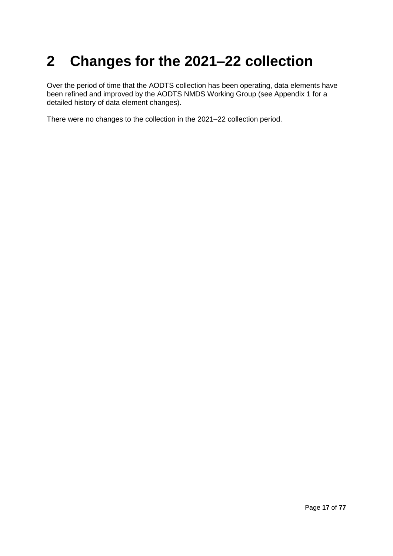# <span id="page-19-0"></span>**2 Changes for the 2021–22 collection**

Over the period of time that the AODTS collection has been operating, data elements have been refined and improved by the AODTS NMDS Working Group (see Appendix 1 for a detailed history of data element changes).

There were no changes to the collection in the 2021–22 collection period.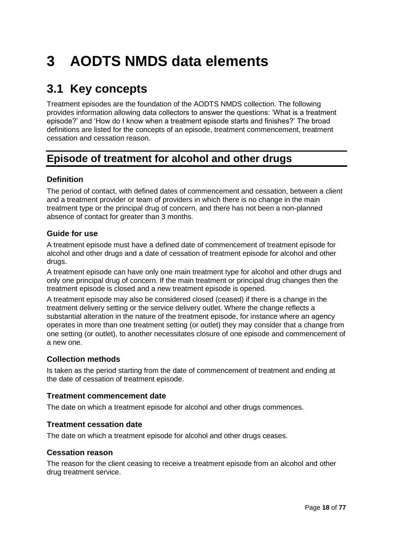# <span id="page-20-0"></span>**3 AODTS NMDS data elements**

# <span id="page-20-1"></span>**3.1 Key concepts**

Treatment episodes are the foundation of the AODTS NMDS collection. The following provides information allowing data collectors to answer the questions: 'What is a treatment episode?' and 'How do I know when a treatment episode starts and finishes?' The broad definitions are listed for the concepts of an episode, treatment commencement, treatment cessation and cessation reason.

## **Episode of treatment for alcohol and other drugs**

#### **Definition**

The period of contact, with defined dates of commencement and cessation, between a client and a treatment provider or team of providers in which there is no change in the main treatment type or the principal drug of concern, and there has not been a non-planned absence of contact for greater than 3 months.

#### **Guide for use**

A treatment episode must have a defined date of commencement of treatment episode for alcohol and other drugs and a date of cessation of treatment episode for alcohol and other drugs.

A treatment episode can have only one main treatment type for alcohol and other drugs and only one principal drug of concern. If the main treatment or principal drug changes then the treatment episode is closed and a new treatment episode is opened.

A treatment episode may also be considered closed (ceased) if there is a change in the treatment delivery setting or the service delivery outlet. Where the change reflects a substantial alteration in the nature of the treatment episode, for instance where an agency operates in more than one treatment setting (or outlet) they may consider that a change from one setting (or outlet), to another necessitates closure of one episode and commencement of a new one.

#### **Collection methods**

Is taken as the period starting from the date of commencement of treatment and ending at the date of cessation of treatment episode.

#### **Treatment commencement date**

The date on which a treatment episode for alcohol and other drugs commences.

#### **Treatment cessation date**

The date on which a treatment episode for alcohol and other drugs ceases.

#### **Cessation reason**

The reason for the client ceasing to receive a treatment episode from an alcohol and other drug treatment service.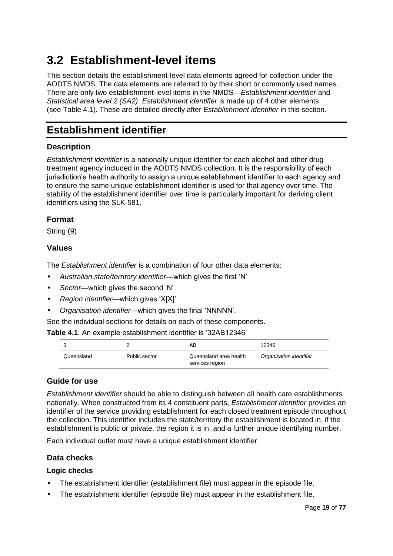# <span id="page-21-0"></span>**3.2 Establishment-level items**

This section details the establishment-level data elements agreed for collection under the AODTS NMDS. The data elements are referred to by their short or commonly used names. There are only two establishment-level items in the NMDS—*Establishment identifier* and *Statistical area level 2 (SA2)*. *Establishment identifier* is made up of 4 other elements (see Table 4.1). These are detailed directly after *Establishment identifier* in this section.

### **Establishment identifier**

#### **Description**

*Establishment identifier* is a nationally unique identifier for each alcohol and other drug treatment agency included in the AODTS NMDS collection. It is the responsibility of each jurisdiction's health authority to assign a unique establishment identifier to each agency and to ensure the same unique establishment identifier is used for that agency over time. The stability of the establishment identifier over time is particularly important for deriving client identifiers using the SLK-581.

#### **Format**

String (9)

#### **Values**

The *Establishment identifier* is a combination of four other data elements:

- *Australian state/territory identifier*—which gives the first 'N'
- *Sector*—which gives the second 'N'
- *Region identifier*—which gives 'X[X]'
- *Organisation identifier*—which gives the final 'NNNNN'.

See the individual sections for details on each of these components.

**Table 4.1**: An example establishment identifier is '32AB12346'

|            |               | AΒ                                        | 12346                   |
|------------|---------------|-------------------------------------------|-------------------------|
| Queensland | Public sector | Queensland area health<br>services region | Organisation identifier |

#### **Guide for use**

*Establishment identifier* should be able to distinguish between all health care establishments nationally. When constructed from its 4 constituent parts, *Establishment identifier* provides an identifier of the service providing establishment for each closed treatment episode throughout the collection. This identifier includes the state/territory the establishment is located in, if the establishment is public or private, the region it is in, and a further unique identifying number.

Each individual outlet must have a unique establishment identifier.

#### **Data checks**

#### **Logic checks**

- The establishment identifier (establishment file) must appear in the episode file.
- The establishment identifier (episode file) must appear in the establishment file.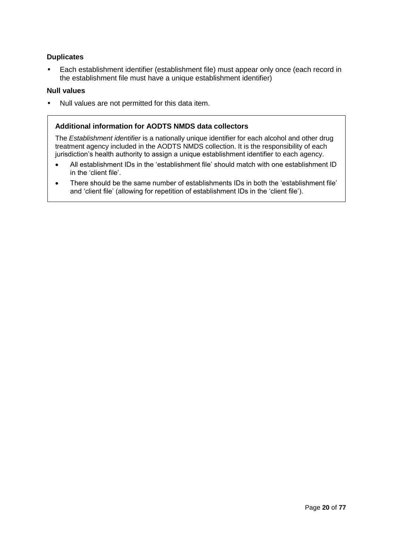#### **Duplicates**

• Each establishment identifier (establishment file) must appear only once (each record in the establishment file must have a unique establishment identifier)

#### **Null values**

• Null values are not permitted for this data item.

#### **Additional information for AODTS NMDS data collectors**

The *Establishment identifier* is a nationally unique identifier for each alcohol and other drug treatment agency included in the AODTS NMDS collection. It is the responsibility of each jurisdiction's health authority to assign a unique establishment identifier to each agency.

- All establishment IDs in the 'establishment file' should match with one establishment ID in the 'client file'.
- There should be the same number of establishments IDs in both the 'establishment file' and 'client file' (allowing for repetition of establishment IDs in the 'client file').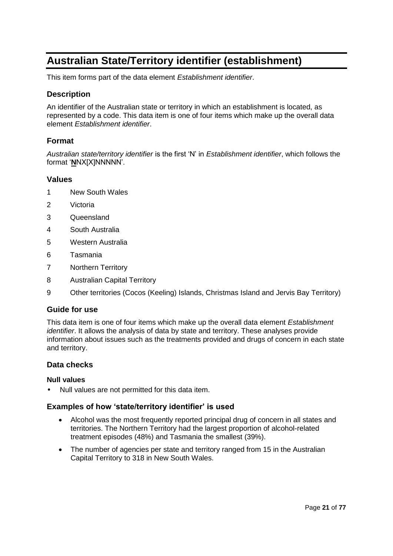# **Australian State/Territory identifier (establishment)**

This item forms part of the data element *Establishment identifier*.

#### **Description**

An identifier of the Australian state or territory in which an establishment is located, as represented by a code. This data item is one of four items which make up the overall data element *Establishment identifier*.

#### **Format**

*Australian state/territory identifier* is the first 'N' in *Establishment identifier*, which follows the format '**N**NX[X]NNNNN'.

#### **Values**

- 1 New South Wales
- 2 Victoria
- 3 Queensland
- 4 South Australia
- 5 Western Australia
- 6 Tasmania
- 7 Northern Territory
- 8 Australian Capital Territory
- 9 Other territories (Cocos (Keeling) Islands, Christmas Island and Jervis Bay Territory)

#### **Guide for use**

This data item is one of four items which make up the overall data element *Establishment identifier*. It allows the analysis of data by state and territory. These analyses provide information about issues such as the treatments provided and drugs of concern in each state and territory.

#### **Data checks**

#### **Null values**

• Null values are not permitted for this data item.

#### **Examples of how 'state/territory identifier' is used**

- Alcohol was the most frequently reported principal drug of concern in all states and territories. The Northern Territory had the largest proportion of alcohol-related treatment episodes (48%) and Tasmania the smallest (39%).
- The number of agencies per state and territory ranged from 15 in the Australian Capital Territory to 318 in New South Wales.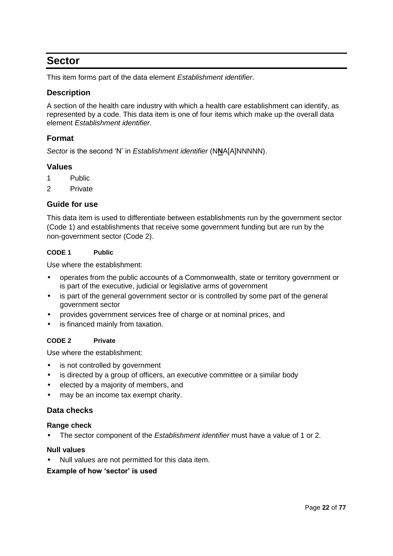### **Sector**

This item forms part of the data element *Establishment identifier*.

#### **Description**

A section of the health care industry with which a health care establishment can identify, as represented by a code. This data item is one of four items which make up the overall data element *Establishment identifier*.

#### **Format**

*Sector* is the second 'N' in *Establishment identifier* (N**N**A[A]NNNNN).

#### **Values**

- 1 Public
- 2 Private

#### **Guide for use**

This data item is used to differentiate between establishments run by the government sector (Code 1) and establishments that receive some government funding but are run by the non-government sector (Code 2).

#### **CODE 1 Public**

Use where the establishment:

- operates from the public accounts of a Commonwealth, state or territory government or is part of the executive, judicial or legislative arms of government
- is part of the general government sector or is controlled by some part of the general government sector
- provides government services free of charge or at nominal prices, and
- is financed mainly from taxation.

#### **CODE 2 Private**

Use where the establishment:

- is not controlled by government
- is directed by a group of officers, an executive committee or a similar body
- elected by a majority of members, and
- may be an income tax exempt charity.

#### **Data checks**

#### **Range check**

• The sector component of the *Establishment identifier* must have a value of 1 or 2.

#### **Null values**

• Null values are not permitted for this data item.

#### **Example of how 'sector' is used**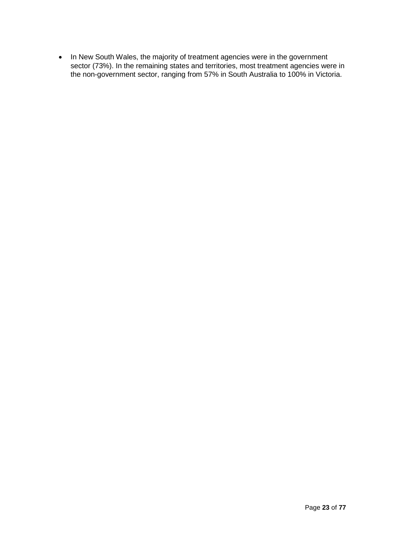• In New South Wales, the majority of treatment agencies were in the government sector (73%). In the remaining states and territories, most treatment agencies were in the non-government sector, ranging from 57% in South Australia to 100% in Victoria.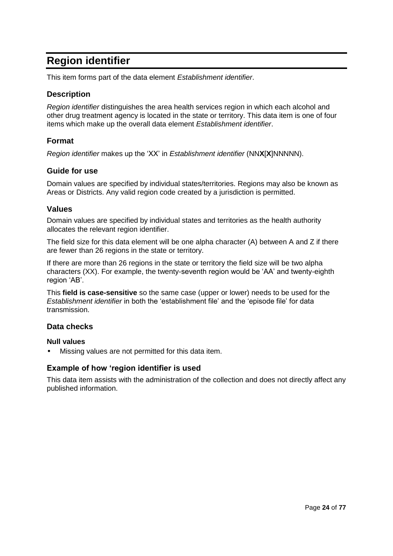# **Region identifier**

This item forms part of the data element *Establishment identifier*.

#### **Description**

*Region identifier* distinguishes the area health services region in which each alcohol and other drug treatment agency is located in the state or territory. This data item is one of four items which make up the overall data element *Establishment identifier*.

#### **Format**

*Region identifier* makes up the 'XX' in *Establishment identifier* (NN**X**[**X**]NNNNN).

#### **Guide for use**

Domain values are specified by individual states/territories. Regions may also be known as Areas or Districts. Any valid region code created by a jurisdiction is permitted.

#### **Values**

Domain values are specified by individual states and territories as the health authority allocates the relevant region identifier.

The field size for this data element will be one alpha character (A) between A and Z if there are fewer than 26 regions in the state or territory.

If there are more than 26 regions in the state or territory the field size will be two alpha characters (XX). For example, the twenty-seventh region would be 'AA' and twenty-eighth region 'AB'.

This **field is case-sensitive** so the same case (upper or lower) needs to be used for the *Establishment identifier* in both the 'establishment file' and the 'episode file' for data transmission.

#### **Data checks**

#### **Null values**

• Missing values are not permitted for this data item.

#### **Example of how 'region identifier is used**

This data item assists with the administration of the collection and does not directly affect any published information.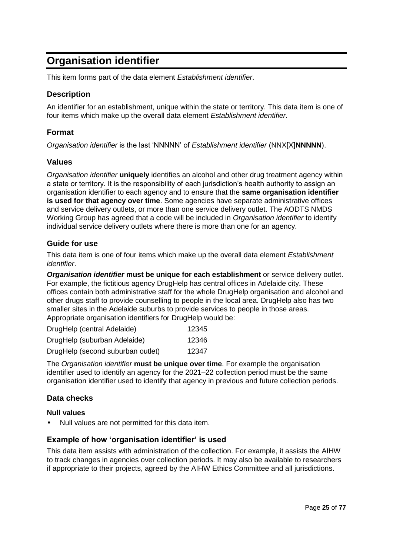# **Organisation identifier**

This item forms part of the data element *Establishment identifier*.

#### **Description**

An identifier for an establishment, unique within the state or territory. This data item is one of four items which make up the overall data element *Establishment identifier*.

#### **Format**

*Organisation identifier* is the last 'NNNNN' of *Establishment identifier* (NNX[X]**NNNNN**).

#### **Values**

*Organisation identifier* **uniquely** identifies an alcohol and other drug treatment agency within a state or territory. It is the responsibility of each jurisdiction's health authority to assign an organisation identifier to each agency and to ensure that the **same organisation identifier is used for that agency over time**. Some agencies have separate administrative offices and service delivery outlets, or more than one service delivery outlet. The AODTS NMDS Working Group has agreed that a code will be included in *Organisation identifier* to identify individual service delivery outlets where there is more than one for an agency.

#### **Guide for use**

This data item is one of four items which make up the overall data element *Establishment identifier*.

*Organisation identifier* **must be unique for each establishment** or service delivery outlet. For example, the fictitious agency DrugHelp has central offices in Adelaide city. These offices contain both administrative staff for the whole DrugHelp organisation and alcohol and other drugs staff to provide counselling to people in the local area. DrugHelp also has two smaller sites in the Adelaide suburbs to provide services to people in those areas. Appropriate organisation identifiers for DrugHelp would be:

| DrugHelp (central Adelaide)       | 12345 |
|-----------------------------------|-------|
| DrugHelp (suburban Adelaide)      | 12346 |
| DrugHelp (second suburban outlet) | 12347 |

The *Organisation identifier* **must be unique over time**. For example the organisation identifier used to identify an agency for the 2021–22 collection period must be the same organisation identifier used to identify that agency in previous and future collection periods.

#### **Data checks**

#### **Null values**

• Null values are not permitted for this data item.

#### **Example of how 'organisation identifier' is used**

This data item assists with administration of the collection. For example, it assists the AIHW to track changes in agencies over collection periods. It may also be available to researchers if appropriate to their projects, agreed by the AIHW Ethics Committee and all jurisdictions.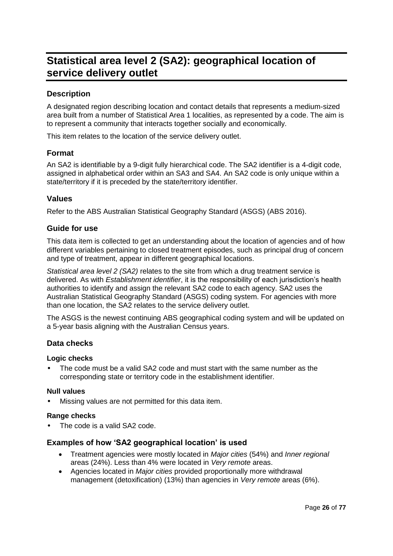# **Statistical area level 2 (SA2): geographical location of service delivery outlet**

#### **Description**

A designated region describing location and contact details that represents a medium-sized area built from a number of Statistical Area 1 localities, as represented by a code. The aim is to represent a community that interacts together socially and economically.

This item relates to the location of the service delivery outlet.

#### **Format**

An SA2 is identifiable by a 9-digit fully hierarchical code. The SA2 identifier is a 4-digit code, assigned in alphabetical order within an SA3 and SA4. An SA2 code is only unique within a state/territory if it is preceded by the state/territory identifier.

#### **Values**

Refer to the ABS Australian Statistical Geography Standard (ASGS) (ABS 2016).

#### **Guide for use**

This data item is collected to get an understanding about the location of agencies and of how different variables pertaining to closed treatment episodes, such as principal drug of concern and type of treatment, appear in different geographical locations.

*Statistical area level 2 (SA2)* relates to the site from which a drug treatment service is delivered. As with *Establishment identifier*, it is the responsibility of each jurisdiction's health authorities to identify and assign the relevant SA2 code to each agency. SA2 uses the Australian Statistical Geography Standard (ASGS) coding system. For agencies with more than one location, the SA2 relates to the service delivery outlet.

The ASGS is the newest continuing ABS geographical coding system and will be updated on a 5-year basis aligning with the Australian Census years.

#### **Data checks**

#### **Logic checks**

• The code must be a valid SA2 code and must start with the same number as the corresponding state or territory code in the establishment identifier.

#### **Null values**

Missing values are not permitted for this data item.

#### **Range checks**

The code is a valid SA2 code.

#### **Examples of how 'SA2 geographical location' is used**

- Treatment agencies were mostly located in *Major cities* (54%) and *Inner regional* areas (24%). Less than 4% were located in *Very remote* areas.
- Agencies located in *Major cities* provided proportionally more withdrawal management (detoxification) (13%) than agencies in *Very remote* areas (6%).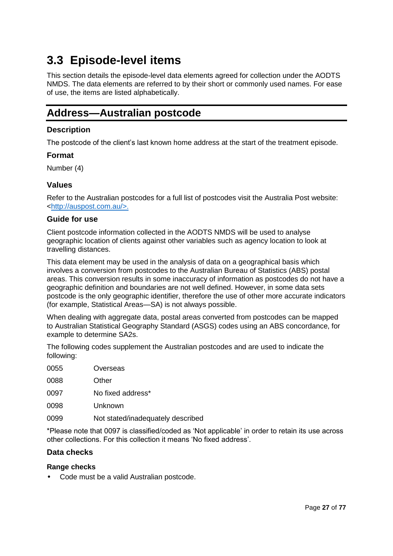# <span id="page-29-0"></span>**3.3 Episode-level items**

This section details the episode-level data elements agreed for collection under the AODTS NMDS. The data elements are referred to by their short or commonly used names. For ease of use, the items are listed alphabetically.

## **Address—Australian postcode**

#### **Description**

The postcode of the client's last known home address at the start of the treatment episode.

#### **Format**

Number (4)

#### **Values**

Refer to the Australian postcodes for a full list of postcodes visit the Australia Post website: [<http://auspost.com.au/>](http://auspost.com.au/).

#### **Guide for use**

Client postcode information collected in the AODTS NMDS will be used to analyse geographic location of clients against other variables such as agency location to look at travelling distances.

This data element may be used in the analysis of data on a geographical basis which involves a conversion from postcodes to the Australian Bureau of Statistics (ABS) postal areas. This conversion results in some inaccuracy of information as postcodes do not have a geographic definition and boundaries are not well defined. However, in some data sets postcode is the only geographic identifier, therefore the use of other more accurate indicators (for example, Statistical Areas—SA) is not always possible.

When dealing with aggregate data, postal areas converted from postcodes can be mapped to Australian Statistical Geography Standard (ASGS) codes using an ABS concordance, for example to determine SA2s.

The following codes supplement the Australian postcodes and are used to indicate the following:

| 0055 | Overseas                          |
|------|-----------------------------------|
| 0088 | Other                             |
| 0097 | No fixed address*                 |
| 0098 | Unknown                           |
| 0099 | Not stated/inadequately described |

\*Please note that 0097 is classified/coded as 'Not applicable' in order to retain its use across other collections. For this collection it means 'No fixed address'.

#### **Data checks**

#### **Range checks**

• Code must be a valid Australian postcode.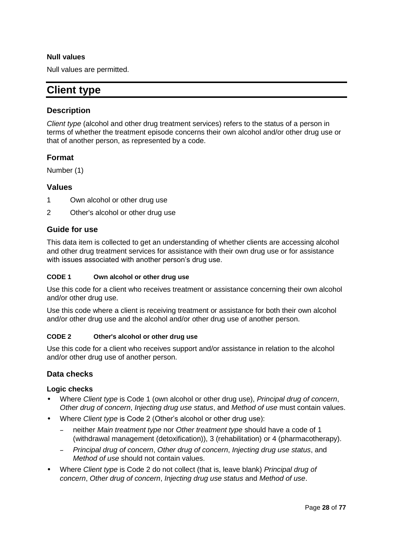#### **Null values**

Null values are permitted.

## **Client type**

#### **Description**

*Client type* (alcohol and other drug treatment services) refers to the status of a person in terms of whether the treatment episode concerns their own alcohol and/or other drug use or that of another person, as represented by a code.

#### **Format**

Number (1)

#### **Values**

- 1 Own alcohol or other drug use
- 2 Other's alcohol or other drug use

#### **Guide for use**

This data item is collected to get an understanding of whether clients are accessing alcohol and other drug treatment services for assistance with their own drug use or for assistance with issues associated with another person's drug use.

#### **CODE 1 Own alcohol or other drug use**

Use this code for a client who receives treatment or assistance concerning their own alcohol and/or other drug use.

Use this code where a client is receiving treatment or assistance for both their own alcohol and/or other drug use and the alcohol and/or other drug use of another person.

#### **CODE 2 Other's alcohol or other drug use**

Use this code for a client who receives support and/or assistance in relation to the alcohol and/or other drug use of another person.

#### **Data checks**

#### **Logic checks**

- Where *Client type* is Code 1 (own alcohol or other drug use), *Principal drug of concern*, *Other drug of concern*, *Injecting drug use status*, and *Method of use* must contain values.
- Where *Client type* is Code 2 (Other's alcohol or other drug use):
	- neither *Main treatment type* nor *Other treatment type* should have a code of 1 (withdrawal management (detoxification)), 3 (rehabilitation) or 4 (pharmacotherapy).
	- *Principal drug of concern*, *Other drug of concern*, *Injecting drug use status*, and *Method of use* should not contain values.
- Where *Client type* is Code 2 do not collect (that is, leave blank) *Principal drug of concern*, *Other drug of concern*, *Injecting drug use status* and *Method of use*.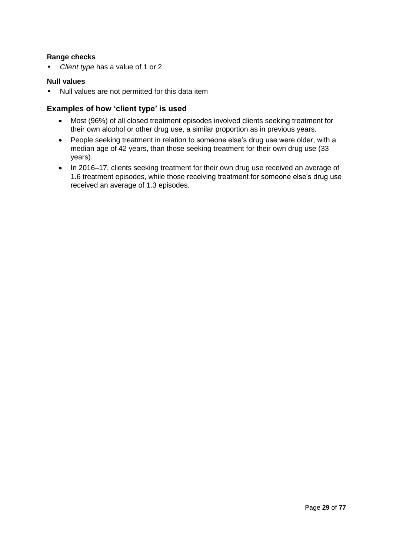#### **Range checks**

• *Client type* has a value of 1 or 2.

#### **Null values**

• Null values are not permitted for this data item

#### **Examples of how 'client type' is used**

- Most (96%) of all closed treatment episodes involved clients seeking treatment for their own alcohol or other drug use, a similar proportion as in previous years.
- People seeking treatment in relation to someone else's drug use were older, with a median age of 42 years, than those seeking treatment for their own drug use (33 years).
- In 2016–17, clients seeking treatment for their own drug use received an average of 1.6 treatment episodes, while those receiving treatment for someone else's drug use received an average of 1.3 episodes.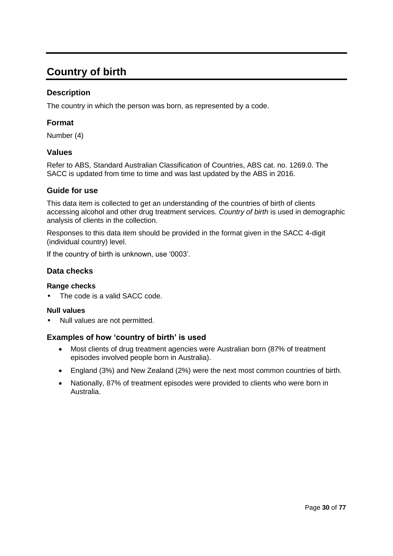# **Country of birth**

#### **Description**

The country in which the person was born, as represented by a code.

#### **Format**

Number (4)

#### **Values**

Refer to ABS, Standard Australian Classification of Countries, ABS cat. no. 1269.0. The SACC is updated from time to time and was last updated by the ABS in 2016.

#### **Guide for use**

This data item is collected to get an understanding of the countries of birth of clients accessing alcohol and other drug treatment services. *Country of birth* is used in demographic analysis of clients in the collection.

Responses to this data item should be provided in the format given in the SACC 4-digit (individual country) level.

If the country of birth is unknown, use '0003'.

#### **Data checks**

#### **Range checks**

The code is a valid SACC code.

#### **Null values**

• Null values are not permitted.

#### **Examples of how 'country of birth' is used**

- Most clients of drug treatment agencies were Australian born (87% of treatment episodes involved people born in Australia).
- England (3%) and New Zealand (2%) were the next most common countries of birth.
- Nationally, 87% of treatment episodes were provided to clients who were born in Australia.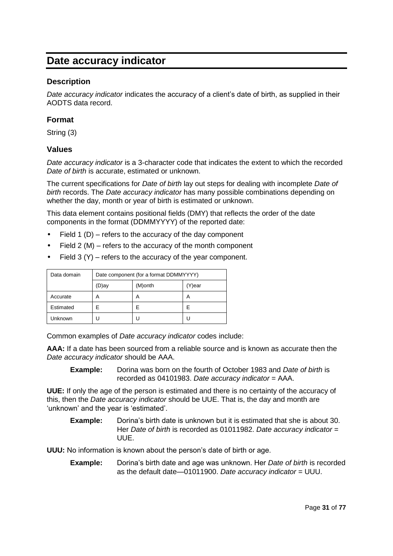# **Date accuracy indicator**

#### **Description**

*Date accuracy indicator* indicates the accuracy of a client's date of birth, as supplied in their AODTS data record.

#### **Format**

String (3)

#### **Values**

*Date accuracy indicator* is a 3-character code that indicates the extent to which the recorded *Date of birth* is accurate, estimated or unknown.

The current specifications for *Date of birth* lay out steps for dealing with incomplete *Date of birth* records. The *Date accuracy indicator* has many possible combinations depending on whether the day, month or year of birth is estimated or unknown.

This data element contains positional fields (DMY) that reflects the order of the date components in the format (DDMMYYYY) of the reported date:

- Field 1 (D) refers to the accuracy of the day component
- Field  $2 (M)$  refers to the accuracy of the month component
- Field 3 (Y) refers to the accuracy of the year component.

| Data domain | Date component (for a format DDMMYYYY) |         |        |  |  |
|-------------|----------------------------------------|---------|--------|--|--|
|             | (D)ay                                  | (M)onth | (Y)ear |  |  |
| Accurate    | А                                      | А       | A      |  |  |
| Estimated   | F                                      | F       | F      |  |  |
| Unknown     |                                        |         |        |  |  |

Common examples of *Date accuracy indicator* codes include:

**AAA:** If a date has been sourced from a reliable source and is known as accurate then the *Date accuracy indicator* should be AAA.

**Example:** Dorina was born on the fourth of October 1983 and *Date of birth* is recorded as 04101983. *Date accuracy indicator* = AAA.

**UUE:** If only the age of the person is estimated and there is no certainty of the accuracy of this, then the *Date accuracy indicator* should be UUE. That is, the day and month are 'unknown' and the year is 'estimated'.

**Example:** Dorina's birth date is unknown but it is estimated that she is about 30. Her *Date of birth* is recorded as 01011982. *Date accuracy indicator* = UUE.

**UUU:** No information is known about the person's date of birth or age.

**Example:** Dorina's birth date and age was unknown. Her *Date of birth* is recorded as the default date—01011900. *Date accuracy indicator* = UUU.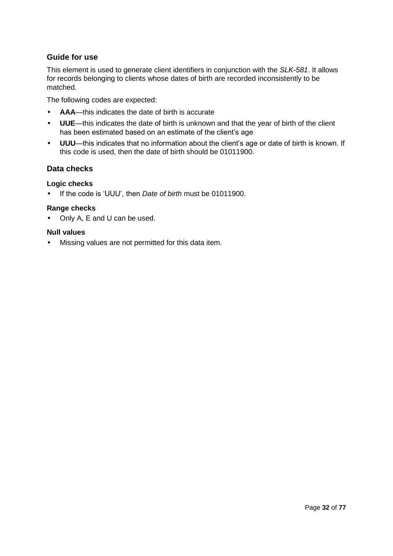#### **Guide for use**

This element is used to generate client identifiers in conjunction with the *SLK-581*. It allows for records belonging to clients whose dates of birth are recorded inconsistently to be matched.

The following codes are expected:

- **AAA**—this indicates the date of birth is accurate
- **UUE**—this indicates the date of birth is unknown and that the year of birth of the client has been estimated based on an estimate of the client's age
- **UUU**—this indicates that no information about the client's age or date of birth is known. If this code is used, then the date of birth should be 01011900.

#### **Data checks**

#### **Logic checks**

• If the code is 'UUU', then *Date of birth* must be 01011900.

#### **Range checks**

• Only A, E and U can be used.

#### **Null values**

• Missing values are not permitted for this data item.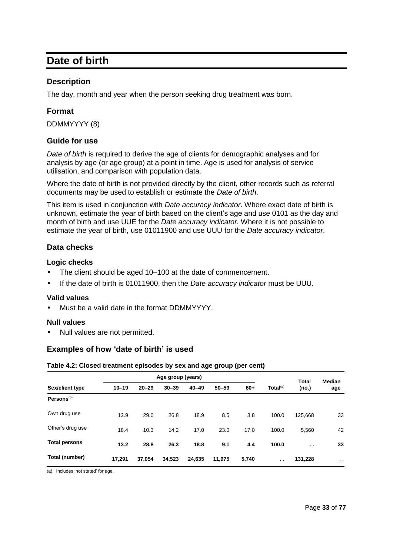### **Date of birth**

#### **Description**

The day, month and year when the person seeking drug treatment was born.

#### **Format**

DDMMYYYY (8)

#### **Guide for use**

*Date of birth* is required to derive the age of clients for demographic analyses and for analysis by age (or age group) at a point in time. Age is used for analysis of service utilisation, and comparison with population data.

Where the date of birth is not provided directly by the client, other records such as referral documents may be used to establish or estimate the *Date of birth*.

This item is used in conjunction with *Date accuracy indicator*. Where exact date of birth is unknown, estimate the year of birth based on the client's age and use 0101 as the day and month of birth and use UUE for the *Date accuracy indicator.* Where it is not possible to estimate the year of birth, use 01011900 and use UUU for the *Date accuracy indicator*.

#### **Data checks**

#### **Logic checks**

- The client should be aged 10–100 at the date of commencement.
- If the date of birth is 01011900, then the *Date accuracy indicator* must be UUU.

#### **Valid values**

• Must be a valid date in the format DDMMYYYY.

#### **Null values**

• Null values are not permitted.

#### **Examples of how 'date of birth' is used**

#### **Table 4.2: Closed treatment episodes by sex and age group (per cent)**

|                        |           | Age group (years) |           |           |           |       | <b>Total</b>         | Median        |        |
|------------------------|-----------|-------------------|-----------|-----------|-----------|-------|----------------------|---------------|--------|
| Sex/client type        | $10 - 19$ | $20 - 29$         | $30 - 39$ | $40 - 49$ | $50 - 59$ | $60+$ | Total <sup>(a)</sup> | (no.)         | age    |
| Persons <sup>(b)</sup> |           |                   |           |           |           |       |                      |               |        |
| Own drug use           | 12.9      | 29.0              | 26.8      | 18.9      | 8.5       | 3.8   | 100.0                | 125.668       | 33     |
| Other's drug use       | 18.4      | 10.3              | 14.2      | 17.0      | 23.0      | 17.0  | 100.0                | 5,560         | 42     |
| <b>Total persons</b>   | 13.2      | 28.8              | 26.3      | 18.8      | 9.1       | 4.4   | 100.0                | $\sim$ $\sim$ | 33     |
| Total (number)         | 17,291    | 37,054            | 34,523    | 24,635    | 11.975    | 5,740 | $\sim$               | 131,228       | $\sim$ |

(a) Includes 'not stated' for age.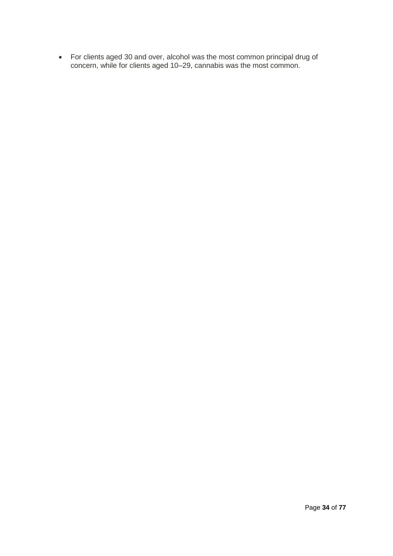For clients aged 30 and over, alcohol was the most common principal drug of concern, while for clients aged 10–29, cannabis was the most common.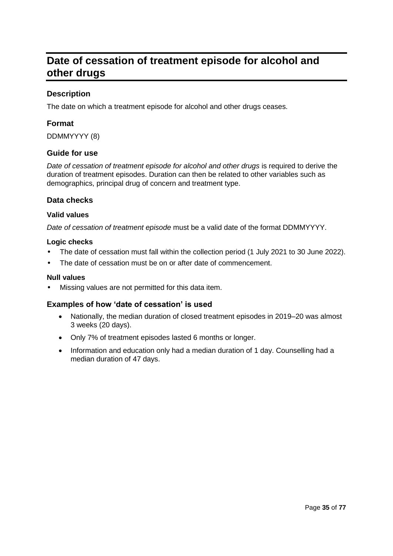# **Date of cessation of treatment episode for alcohol and other drugs**

### **Description**

The date on which a treatment episode for alcohol and other drugs ceases.

### **Format**

DDMMYYYY (8)

#### **Guide for use**

*Date of cessation of treatment episode for alcohol and other drugs* is required to derive the duration of treatment episodes. Duration can then be related to other variables such as demographics, principal drug of concern and treatment type.

### **Data checks**

#### **Valid values**

*Date of cessation of treatment episode* must be a valid date of the format DDMMYYYY.

#### **Logic checks**

- The date of cessation must fall within the collection period (1 July 2021 to 30 June 2022).
- The date of cessation must be on or after date of commencement.

#### **Null values**

Missing values are not permitted for this data item.

#### **Examples of how 'date of cessation' is used**

- Nationally, the median duration of closed treatment episodes in 2019–20 was almost 3 weeks (20 days).
- Only 7% of treatment episodes lasted 6 months or longer.
- Information and education only had a median duration of 1 day. Counselling had a median duration of 47 days.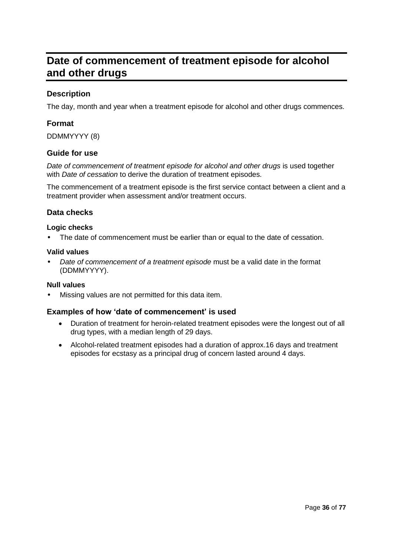# **Date of commencement of treatment episode for alcohol and other drugs**

### **Description**

The day, month and year when a treatment episode for alcohol and other drugs commences.

### **Format**

DDMMYYYY (8)

#### **Guide for use**

*Date of commencement of treatment episode for alcohol and other drugs* is used together with *Date of cessation* to derive the duration of treatment episodes.

The commencement of a treatment episode is the first service contact between a client and a treatment provider when assessment and/or treatment occurs.

### **Data checks**

#### **Logic checks**

The date of commencement must be earlier than or equal to the date of cessation.

#### **Valid values**

• *Date of commencement of a treatment episode* must be a valid date in the format (DDMMYYYY).

#### **Null values**

• Missing values are not permitted for this data item.

#### **Examples of how 'date of commencement' is used**

- Duration of treatment for heroin-related treatment episodes were the longest out of all drug types, with a median length of 29 days.
- Alcohol-related treatment episodes had a duration of approx.16 days and treatment episodes for ecstasy as a principal drug of concern lasted around 4 days.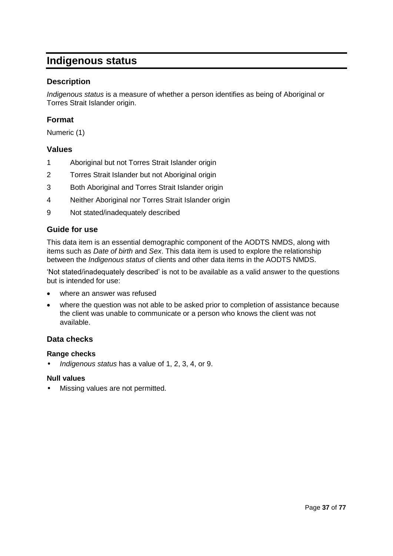# **Indigenous status**

### **Description**

*Indigenous status* is a measure of whether a person identifies as being of Aboriginal or Torres Strait Islander origin.

### **Format**

Numeric (1)

#### **Values**

- 1 Aboriginal but not Torres Strait Islander origin
- 2 Torres Strait Islander but not Aboriginal origin
- 3 Both Aboriginal and Torres Strait Islander origin
- 4 Neither Aboriginal nor Torres Strait Islander origin
- 9 Not stated/inadequately described

#### **Guide for use**

This data item is an essential demographic component of the AODTS NMDS, along with items such as *Date of birth* and *Sex*. This data item is used to explore the relationship between the *Indigenous status* of clients and other data items in the AODTS NMDS.

'Not stated/inadequately described' is not to be available as a valid answer to the questions but is intended for use:

- where an answer was refused
- where the question was not able to be asked prior to completion of assistance because the client was unable to communicate or a person who knows the client was not available.

#### **Data checks**

#### **Range checks**

• *Indigenous status* has a value of 1, 2, 3, 4, or 9.

#### **Null values**

• Missing values are not permitted.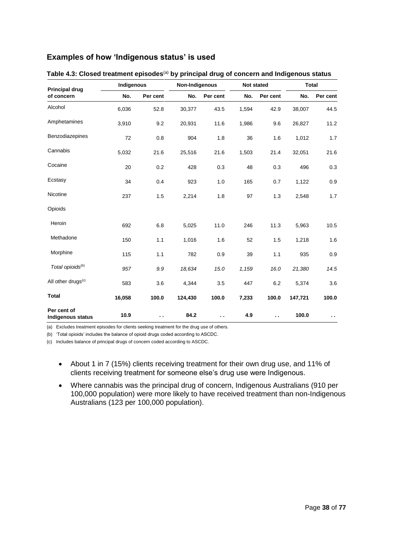### **Examples of how 'Indigenous status' is used**

| <b>Principal drug</b>                   | Indigenous |                      | Non-Indigenous |                      | Not stated |                      | <b>Total</b> |          |
|-----------------------------------------|------------|----------------------|----------------|----------------------|------------|----------------------|--------------|----------|
| of concern                              | No.        | Per cent             | No.            | Per cent             | No.        | Per cent             | No.          | Per cent |
| Alcohol                                 | 6,036      | 52.8                 | 30,377         | 43.5                 | 1,594      | 42.9                 | 38,007       | 44.5     |
| Amphetamines                            | 3,910      | 9.2                  | 20,931         | 11.6                 | 1,986      | 9.6                  | 26,827       | 11.2     |
| Benzodiazepines                         | 72         | 0.8                  | 904            | 1.8                  | 36         | 1.6                  | 1,012        | 1.7      |
| Cannabis                                | 5,032      | 21.6                 | 25,516         | 21.6                 | 1,503      | 21.4                 | 32,051       | 21.6     |
| Cocaine                                 | 20         | 0.2                  | 428            | 0.3                  | 48         | 0.3                  | 496          | 0.3      |
| Ecstasy                                 | 34         | 0.4                  | 923            | 1.0                  | 165        | 0.7                  | 1,122        | 0.9      |
| Nicotine                                | 237        | 1.5                  | 2,214          | 1.8                  | 97         | 1.3                  | 2,548        | 1.7      |
| Opioids                                 |            |                      |                |                      |            |                      |              |          |
| Heroin                                  | 692        | 6.8                  | 5,025          | 11.0                 | 246        | 11.3                 | 5,963        | 10.5     |
| Methadone                               | 150        | 1.1                  | 1,016          | 1.6                  | 52         | 1.5                  | 1,218        | 1.6      |
| Morphine                                | 115        | 1.1                  | 782            | 0.9                  | 39         | 1.1                  | 935          | 0.9      |
| Total opioids <sup>(b)</sup>            | 957        | 9.9                  | 18,634         | 15.0                 | 1,159      | 16.0                 | 21,380       | 14.5     |
| All other drugs <sup>(c)</sup>          | 583        | 3.6                  | 4,344          | 3.5                  | 447        | 6.2                  | 5,374        | 3.6      |
| <b>Total</b>                            | 16,058     | 100.0                | 124,430        | 100.0                | 7,233      | 100.0                | 147,721      | 100.0    |
| Per cent of<br><b>Indigenous status</b> | 10.9       | $\ddot{\phantom{1}}$ | 84.2           | $\ddot{\phantom{a}}$ | 4.9        | $\ddot{\phantom{a}}$ | 100.0        | . .      |

| Table 4.3: Closed treatment episodes <sup>(a)</sup> by principal drug of concern and Indigenous status |  |  |  |  |
|--------------------------------------------------------------------------------------------------------|--|--|--|--|
|--------------------------------------------------------------------------------------------------------|--|--|--|--|

(a) Excludes treatment episodes for clients seeking treatment for the drug use of others.

(b) 'Total opioids' includes the balance of opioid drugs coded according to ASCDC.

(c) Includes balance of principal drugs of concern coded according to ASCDC.

- About 1 in 7 (15%) clients receiving treatment for their own drug use, and 11% of clients receiving treatment for someone else's drug use were Indigenous.
- Where cannabis was the principal drug of concern, Indigenous Australians (910 per 100,000 population) were more likely to have received treatment than non-Indigenous Australians (123 per 100,000 population).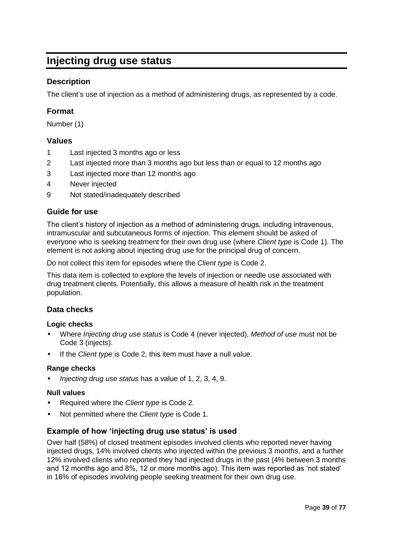# **Injecting drug use status**

### **Description**

The client's use of injection as a method of administering drugs, as represented by a code.

### **Format**

Number (1)

### **Values**

- 1 Last injected 3 months ago or less
- 2 Last injected more than 3 months ago but less than or equal to 12 months ago
- 3 Last injected more than 12 months ago
- 4 Never injected
- 9 Not stated/inadequately described

### **Guide for use**

The client's history of injection as a method of administering drugs, including intravenous, intramuscular and subcutaneous forms of injection. This element should be asked of everyone who is seeking treatment for their own drug use (where *Client type* is Code 1). The element is not asking about injecting drug use for the principal drug of concern.

Do not collect this item for episodes where the *Client type* is Code 2.

This data item is collected to explore the levels of injection or needle use associated with drug treatment clients. Potentially, this allows a measure of health risk in the treatment population.

### **Data checks**

#### **Logic checks**

- Where *Injecting drug use status* is Code 4 (never injected), *Method of use* must not be Code 3 (injects).
- If the *Client type* is Code 2, this item must have a null value.

#### **Range checks**

• *Injecting drug use status* has a value of 1, 2, 3, 4, 9.

#### **Null values**

- Required where the *Client type* is Code 2.
- Not permitted where the *Client type* is Code 1.

### **Example of how 'injecting drug use status' is used**

Over half (58%) of closed treatment episodes involved clients who reported never having injected drugs, 14% involved clients who injected within the previous 3 months, and a further 12% involved clients who reported they had injected drugs in the past (4% between 3 months and 12 months ago and 8%, 12 or more months ago). This item was reported as 'not stated' in 16% of episodes involving people seeking treatment for their own drug use.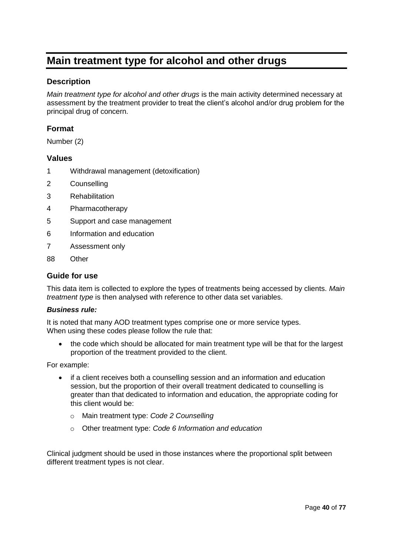# **Main treatment type for alcohol and other drugs**

### **Description**

*Main treatment type for alcohol and other drugs* is the main activity determined necessary at assessment by the treatment provider to treat the client's alcohol and/or drug problem for the principal drug of concern.

#### **Format**

Number (2)

#### **Values**

- 1 Withdrawal management (detoxification)
- 2 Counselling
- 3 Rehabilitation
- 4 Pharmacotherapy
- 5 Support and case management
- 6 Information and education
- 7 Assessment only
- 88 Other

#### **Guide for use**

This data item is collected to explore the types of treatments being accessed by clients. *Main treatment type* is then analysed with reference to other data set variables.

#### *Business rule:*

It is noted that many AOD treatment types comprise one or more service types. When using these codes please follow the rule that:

• the code which should be allocated for main treatment type will be that for the largest proportion of the treatment provided to the client.

For example:

- if a client receives both a counselling session and an information and education session, but the proportion of their overall treatment dedicated to counselling is greater than that dedicated to information and education, the appropriate coding for this client would be:
	- o Main treatment type: *Code 2 Counselling*
	- o Other treatment type: *Code 6 Information and education*

Clinical judgment should be used in those instances where the proportional split between different treatment types is not clear.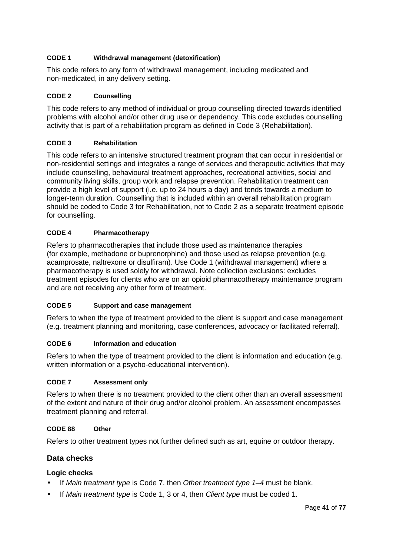#### **CODE 1 Withdrawal management (detoxification)**

This code refers to any form of withdrawal management, including medicated and non-medicated, in any delivery setting.

#### **CODE 2 Counselling**

This code refers to any method of individual or group counselling directed towards identified problems with alcohol and/or other drug use or dependency. This code excludes counselling activity that is part of a rehabilitation program as defined in Code 3 (Rehabilitation).

#### **CODE 3 Rehabilitation**

This code refers to an intensive structured treatment program that can occur in residential or non-residential settings and integrates a range of services and therapeutic activities that may include counselling, behavioural treatment approaches, recreational activities, social and community living skills, group work and relapse prevention. Rehabilitation treatment can provide a high level of support (i.e. up to 24 hours a day) and tends towards a medium to longer-term duration. Counselling that is included within an overall rehabilitation program should be coded to Code 3 for Rehabilitation, not to Code 2 as a separate treatment episode for counselling.

### **CODE 4 Pharmacotherapy**

Refers to pharmacotherapies that include those used as maintenance therapies (for example, methadone or buprenorphine) and those used as relapse prevention (e.g. acamprosate, naltrexone or disulfiram). Use Code 1 (withdrawal management) where a pharmacotherapy is used solely for withdrawal. Note collection exclusions: excludes treatment episodes for clients who are on an opioid pharmacotherapy maintenance program and are not receiving any other form of treatment.

#### **CODE 5 Support and case management**

Refers to when the type of treatment provided to the client is support and case management (e.g. treatment planning and monitoring, case conferences, advocacy or facilitated referral).

#### **CODE 6 Information and education**

Refers to when the type of treatment provided to the client is information and education (e.g. written information or a psycho-educational intervention).

#### **CODE 7 Assessment only**

Refers to when there is no treatment provided to the client other than an overall assessment of the extent and nature of their drug and/or alcohol problem. An assessment encompasses treatment planning and referral.

#### **CODE 88 Other**

Refers to other treatment types not further defined such as art, equine or outdoor therapy.

### **Data checks**

### **Logic checks**

- If *Main treatment type* is Code 7, then *Other treatment type 1–4* must be blank.
- If *Main treatment type* is Code 1, 3 or 4, then *Client type* must be coded 1.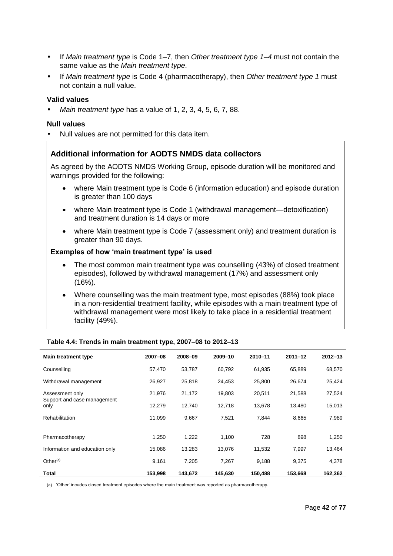- If *Main treatment type* is Code 1–7, then *Other treatment type 1–4* must not contain the same value as the *Main treatment type*.
- If *Main treatment type* is Code 4 (pharmacotherapy), then *Other treatment type 1* must not contain a null value.

#### **Valid values**

• *Main treatment type* has a value of 1, 2, 3, 4, 5, 6, 7, 88.

#### **Null values**

• Null values are not permitted for this data item.

#### **Additional information for AODTS NMDS data collectors**

As agreed by the AODTS NMDS Working Group, episode duration will be monitored and warnings provided for the following:

- where Main treatment type is Code 6 (information education) and episode duration is greater than 100 days
- where Main treatment type is Code 1 (withdrawal management—detoxification) and treatment duration is 14 days or more
- where Main treatment type is Code 7 (assessment only) and treatment duration is greater than 90 days.

#### **Examples of how 'main treatment type' is used**

- The most common main treatment type was counselling (43%) of closed treatment episodes), followed by withdrawal management (17%) and assessment only (16%).
- Where counselling was the main treatment type, most episodes (88%) took place in a non-residential treatment facility, while episodes with a main treatment type of withdrawal management were most likely to take place in a residential treatment facility (49%).

| Main treatment type                 | 2007-08 | 2008-09 | 2009-10 | 2010-11 | $2011 - 12$ | $2012 - 13$ |
|-------------------------------------|---------|---------|---------|---------|-------------|-------------|
| Counselling                         | 57,470  | 53,787  | 60,792  | 61,935  | 65.889      | 68,570      |
| Withdrawal management               | 26,927  | 25,818  | 24.453  | 25,800  | 26.674      | 25,424      |
| Assessment only                     | 21,976  | 21,172  | 19,803  | 20,511  | 21,588      | 27,524      |
| Support and case management<br>only | 12,279  | 12,740  | 12,718  | 13,678  | 13,480      | 15,013      |
| Rehabilitation                      | 11.099  | 9,667   | 7,521   | 7.844   | 8,665       | 7,989       |
|                                     |         |         |         |         |             |             |
| Pharmacotherapy                     | 1,250   | 1,222   | 1,100   | 728     | 898         | 1,250       |
| Information and education only      | 15,086  | 13,283  | 13,076  | 11,532  | 7,997       | 13,464      |
| Other $(a)$                         | 9,161   | 7,205   | 7,267   | 9,188   | 9,375       | 4,378       |
| Total                               | 153.998 | 143.672 | 145.630 | 150.488 | 153.668     | 162.362     |

#### **Table 4.4: Trends in main treatment type, 2007–08 to 2012–13**

(a) 'Other' incudes closed treatment episodes where the main treatment was reported as pharmacotherapy.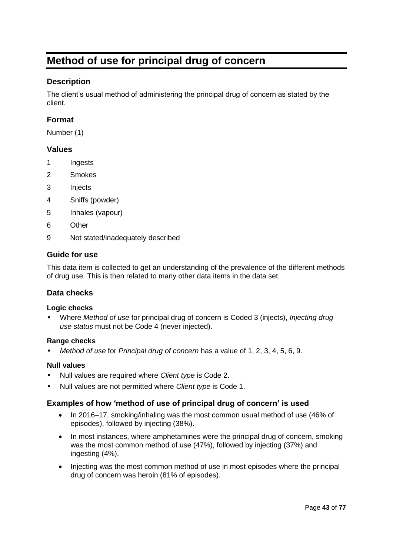# **Method of use for principal drug of concern**

### **Description**

The client's usual method of administering the principal drug of concern as stated by the client.

### **Format**

Number (1)

### **Values**

- 1 Ingests
- 2 Smokes
- 3 Injects
- 4 Sniffs (powder)
- 5 Inhales (vapour)
- 6 Other
- 9 Not stated/inadequately described

### **Guide for use**

This data item is collected to get an understanding of the prevalence of the different methods of drug use. This is then related to many other data items in the data set.

### **Data checks**

#### **Logic checks**

• Where *Method of use* for principal drug of concern is Coded 3 (injects), *Injecting drug use status* must not be Code 4 (never injected).

#### **Range checks**

• *Method of use* for *Principal drug of concern* has a value of 1, 2, 3, 4, 5, 6, 9.

#### **Null values**

- Null values are required where *Client type* is Code 2.
- Null values are not permitted where *Client type* is Code 1.

#### **Examples of how 'method of use of principal drug of concern' is used**

- In 2016–17, smoking/inhaling was the most common usual method of use (46% of episodes), followed by injecting (38%).
- In most instances, where amphetamines were the principal drug of concern, smoking was the most common method of use (47%), followed by injecting (37%) and ingesting (4%).
- Injecting was the most common method of use in most episodes where the principal drug of concern was heroin (81% of episodes).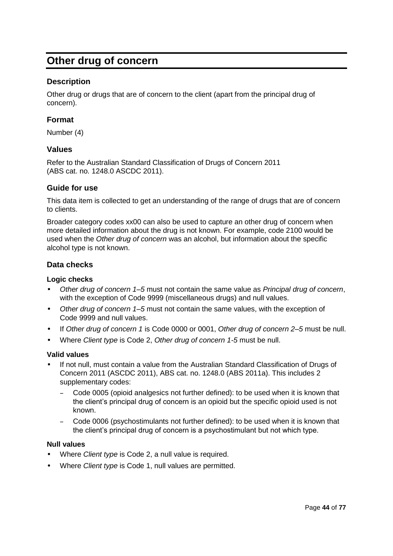# **Other drug of concern**

### **Description**

Other drug or drugs that are of concern to the client (apart from the principal drug of concern).

### **Format**

Number (4)

#### **Values**

Refer to the Australian Standard Classification of Drugs of Concern 2011 (ABS cat. no. 1248.0 ASCDC 2011).

#### **Guide for use**

This data item is collected to get an understanding of the range of drugs that are of concern to clients.

Broader category codes xx00 can also be used to capture an other drug of concern when more detailed information about the drug is not known. For example, code 2100 would be used when the *Other drug of concern* was an alcohol, but information about the specific alcohol type is not known.

### **Data checks**

#### **Logic checks**

- *Other drug of concern 1–5* must not contain the same value as *Principal drug of concern*, with the exception of Code 9999 (miscellaneous drugs) and null values.
- *Other drug of concern 1–5* must not contain the same values, with the exception of Code 9999 and null values.
- If *Other drug of concern 1* is Code 0000 or 0001, *Other drug of concern 2–5* must be null.
- Where *Client type* is Code 2, *Other drug of concern 1-5* must be null.

#### **Valid values**

- If not null, must contain a value from the Australian Standard Classification of Drugs of Concern 2011 (ASCDC 2011), ABS cat. no. 1248.0 (ABS 2011a). This includes 2 supplementary codes:
	- Code 0005 (opioid analgesics not further defined): to be used when it is known that the client's principal drug of concern is an opioid but the specific opioid used is not known.
	- Code 0006 (psychostimulants not further defined): to be used when it is known that the client's principal drug of concern is a psychostimulant but not which type.

#### **Null values**

- Where *Client type* is Code 2, a null value is required.
- Where *Client type* is Code 1, null values are permitted.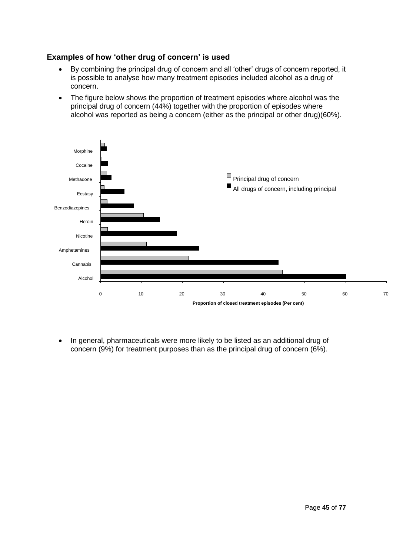### **Examples of how 'other drug of concern' is used**

- By combining the principal drug of concern and all 'other' drugs of concern reported, it is possible to analyse how many treatment episodes included alcohol as a drug of concern.
- The figure below shows the proportion of treatment episodes where alcohol was the principal drug of concern (44%) together with the proportion of episodes where alcohol was reported as being a concern (either as the principal or other drug)(60%).



• In general, pharmaceuticals were more likely to be listed as an additional drug of concern (9%) for treatment purposes than as the principal drug of concern (6%).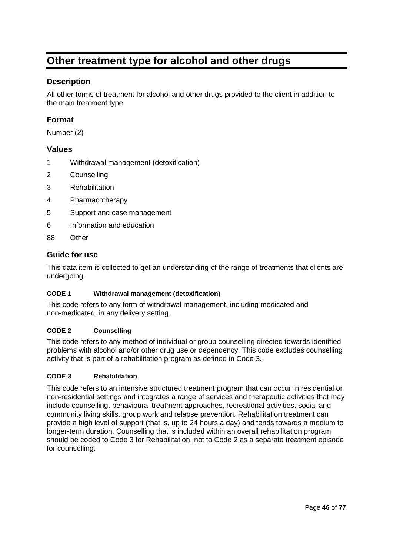# **Other treatment type for alcohol and other drugs**

### **Description**

All other forms of treatment for alcohol and other drugs provided to the client in addition to the main treatment type.

### **Format**

Number (2)

#### **Values**

- 1 Withdrawal management (detoxification)
- 2 Counselling
- 3 Rehabilitation
- 4 Pharmacotherapy
- 5 Support and case management
- 6 Information and education
- 88 Other

#### **Guide for use**

This data item is collected to get an understanding of the range of treatments that clients are undergoing.

#### **CODE 1 Withdrawal management (detoxification)**

This code refers to any form of withdrawal management, including medicated and non-medicated, in any delivery setting.

#### **CODE 2 Counselling**

This code refers to any method of individual or group counselling directed towards identified problems with alcohol and/or other drug use or dependency. This code excludes counselling activity that is part of a rehabilitation program as defined in Code 3.

#### **CODE 3 Rehabilitation**

This code refers to an intensive structured treatment program that can occur in residential or non-residential settings and integrates a range of services and therapeutic activities that may include counselling, behavioural treatment approaches, recreational activities, social and community living skills, group work and relapse prevention. Rehabilitation treatment can provide a high level of support (that is, up to 24 hours a day) and tends towards a medium to longer-term duration. Counselling that is included within an overall rehabilitation program should be coded to Code 3 for Rehabilitation, not to Code 2 as a separate treatment episode for counselling.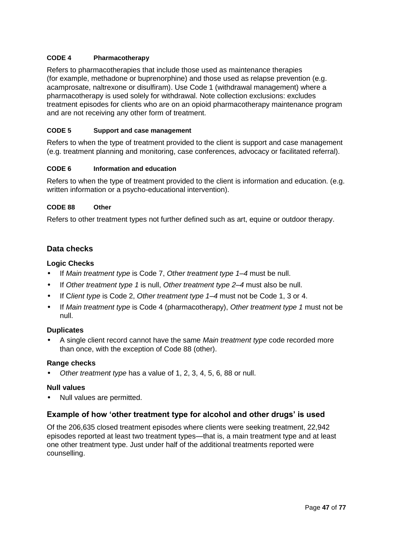#### **CODE 4 Pharmacotherapy**

Refers to pharmacotherapies that include those used as maintenance therapies (for example, methadone or buprenorphine) and those used as relapse prevention (e.g. acamprosate, naltrexone or disulfiram). Use Code 1 (withdrawal management) where a pharmacotherapy is used solely for withdrawal. Note collection exclusions: excludes treatment episodes for clients who are on an opioid pharmacotherapy maintenance program and are not receiving any other form of treatment.

#### **CODE 5 Support and case management**

Refers to when the type of treatment provided to the client is support and case management (e.g. treatment planning and monitoring, case conferences, advocacy or facilitated referral).

#### **CODE 6 Information and education**

Refers to when the type of treatment provided to the client is information and education. (e.g. written information or a psycho-educational intervention).

#### **CODE 88 Other**

Refers to other treatment types not further defined such as art, equine or outdoor therapy.

### **Data checks**

#### **Logic Checks**

- If *Main treatment type* is Code 7, *Other treatment type 1–4* must be null.
- If *Other treatment type 1* is null, *Other treatment type 2–4* must also be null.
- If C*lient type* is Code 2, *Other treatment type 1–4* must not be Code 1, 3 or 4.
- If *Main treatment type* is Code 4 (pharmacotherapy), *Other treatment type 1* must not be null.

#### **Duplicates**

• A single client record cannot have the same *Main treatment type* code recorded more than once, with the exception of Code 88 (other).

#### **Range checks**

• *Other treatment type* has a value of 1, 2, 3, 4, 5, 6, 88 or null.

#### **Null values**

• Null values are permitted.

#### **Example of how 'other treatment type for alcohol and other drugs' is used**

Of the 206,635 closed treatment episodes where clients were seeking treatment, 22,942 episodes reported at least two treatment types—that is, a main treatment type and at least one other treatment type. Just under half of the additional treatments reported were counselling.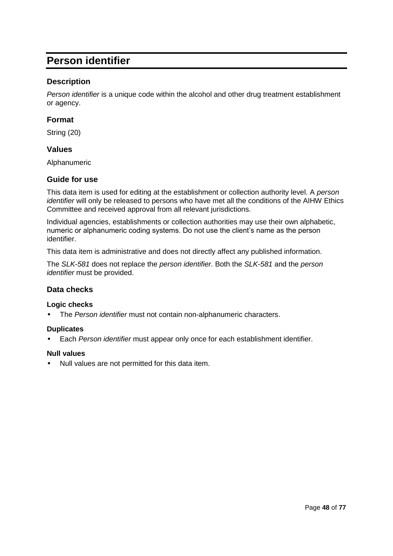# **Person identifier**

### **Description**

*Person identifier* is a unique code within the alcohol and other drug treatment establishment or agency.

### **Format**

String (20)

#### **Values**

Alphanumeric

### **Guide for use**

This data item is used for editing at the establishment or collection authority level. A *person identifier* will only be released to persons who have met all the conditions of the AIHW Ethics Committee and received approval from all relevant jurisdictions.

Individual agencies, establishments or collection authorities may use their own alphabetic, numeric or alphanumeric coding systems. Do not use the client's name as the person identifier.

This data item is administrative and does not directly affect any published information.

The *SLK-581* does not replace the *person identifier.* Both the *SLK-581* and the *person identifier* must be provided.

#### **Data checks**

#### **Logic checks**

• The *Person identifier* must not contain non-alphanumeric characters.

#### **Duplicates**

• Each *Person identifier* must appear only once for each establishment identifier.

#### **Null values**

• Null values are not permitted for this data item.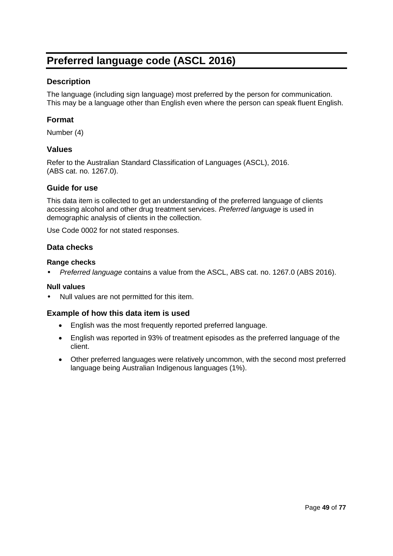# **Preferred language code (ASCL 2016)**

### **Description**

The language (including sign language) most preferred by the person for communication. This may be a language other than English even where the person can speak fluent English.

### **Format**

Number (4)

#### **Values**

Refer to the Australian Standard Classification of Languages (ASCL), 2016. (ABS cat. no. 1267.0).

#### **Guide for use**

This data item is collected to get an understanding of the preferred language of clients accessing alcohol and other drug treatment services. *Preferred language* is used in demographic analysis of clients in the collection.

Use Code 0002 for not stated responses.

### **Data checks**

#### **Range checks**

• *Preferred language* contains a value from the ASCL, ABS cat. no. 1267.0 (ABS 2016).

#### **Null values**

• Null values are not permitted for this item.

#### **Example of how this data item is used**

- English was the most frequently reported preferred language.
- English was reported in 93% of treatment episodes as the preferred language of the client.
- Other preferred languages were relatively uncommon, with the second most preferred language being Australian Indigenous languages (1%).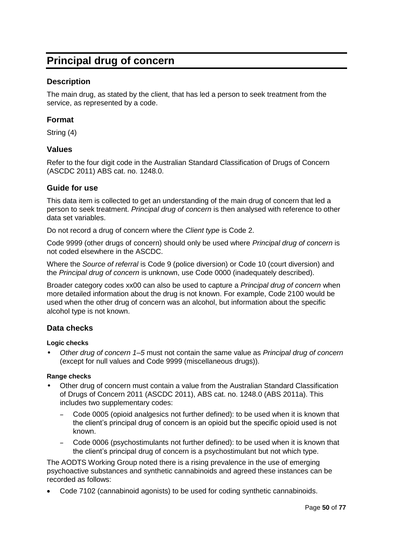# **Principal drug of concern**

### **Description**

The main drug, as stated by the client, that has led a person to seek treatment from the service, as represented by a code.

### **Format**

String (4)

#### **Values**

Refer to the four digit code in the Australian Standard Classification of Drugs of Concern (ASCDC 2011) ABS cat. no. 1248.0.

#### **Guide for use**

This data item is collected to get an understanding of the main drug of concern that led a person to seek treatment. *Principal drug of concern* is then analysed with reference to other data set variables.

Do not record a drug of concern where the *Client type* is Code 2.

Code 9999 (other drugs of concern) should only be used where *Principal drug of concern* is not coded elsewhere in the ASCDC.

Where the *Source of referral* is Code 9 (police diversion) or Code 10 (court diversion) and the *Principal drug of concern* is unknown, use Code 0000 (inadequately described).

Broader category codes xx00 can also be used to capture a *Principal drug of concern* when more detailed information about the drug is not known. For example, Code 2100 would be used when the other drug of concern was an alcohol, but information about the specific alcohol type is not known.

#### **Data checks**

#### **Logic checks**

• *Other drug of concern 1–5* must not contain the same value as *Principal drug of concern* (except for null values and Code 9999 (miscellaneous drugs)).

#### **Range checks**

- Other drug of concern must contain a value from the Australian Standard Classification of Drugs of Concern 2011 (ASCDC 2011), ABS cat. no. 1248.0 (ABS 2011a). This includes two supplementary codes:
	- Code 0005 (opioid analgesics not further defined): to be used when it is known that the client's principal drug of concern is an opioid but the specific opioid used is not known.
	- Code 0006 (psychostimulants not further defined): to be used when it is known that the client's principal drug of concern is a psychostimulant but not which type.

The AODTS Working Group noted there is a rising prevalence in the use of emerging psychoactive substances and synthetic cannabinoids and agreed these instances can be recorded as follows:

Code 7102 (cannabinoid agonists) to be used for coding synthetic cannabinoids.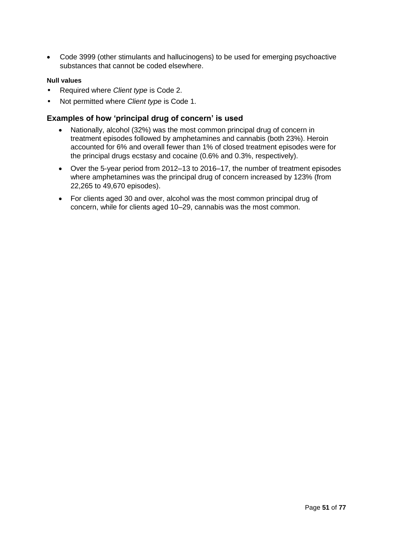Code 3999 (other stimulants and hallucinogens) to be used for emerging psychoactive substances that cannot be coded elsewhere.

#### **Null values**

- Required where *Client type* is Code 2.
- Not permitted where *Client type* is Code 1.

#### **Examples of how 'principal drug of concern' is used**

- Nationally, alcohol (32%) was the most common principal drug of concern in treatment episodes followed by amphetamines and cannabis (both 23%). Heroin accounted for 6% and overall fewer than 1% of closed treatment episodes were for the principal drugs ecstasy and cocaine (0.6% and 0.3%, respectively).
- Over the 5-year period from 2012–13 to 2016–17, the number of treatment episodes where amphetamines was the principal drug of concern increased by 123% (from 22,265 to 49,670 episodes).
- For clients aged 30 and over, alcohol was the most common principal drug of concern, while for clients aged 10–29, cannabis was the most common.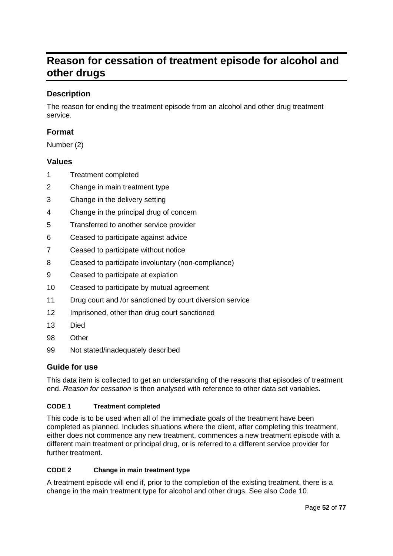# **Reason for cessation of treatment episode for alcohol and other drugs**

### **Description**

The reason for ending the treatment episode from an alcohol and other drug treatment service.

### **Format**

Number (2)

### **Values**

- 1 Treatment completed
- 2 Change in main treatment type
- 3 Change in the delivery setting
- 4 Change in the principal drug of concern
- 5 Transferred to another service provider
- 6 Ceased to participate against advice
- 7 Ceased to participate without notice
- 8 Ceased to participate involuntary (non-compliance)
- 9 Ceased to participate at expiation
- 10 Ceased to participate by mutual agreement
- 11 Drug court and /or sanctioned by court diversion service
- 12 Imprisoned, other than drug court sanctioned
- 13 Died
- 98 Other
- 99 Not stated/inadequately described

### **Guide for use**

This data item is collected to get an understanding of the reasons that episodes of treatment end. *Reason for cessation* is then analysed with reference to other data set variables.

#### **CODE 1 Treatment completed**

This code is to be used when all of the immediate goals of the treatment have been completed as planned. Includes situations where the client, after completing this treatment, either does not commence any new treatment, commences a new treatment episode with a different main treatment or principal drug, or is referred to a different service provider for further treatment.

#### **CODE 2 Change in main treatment type**

A treatment episode will end if, prior to the completion of the existing treatment, there is a change in the main treatment type for alcohol and other drugs. See also Code 10.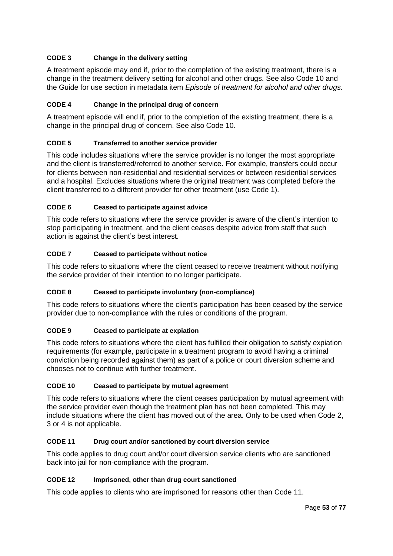### **CODE 3 Change in the delivery setting**

A treatment episode may end if, prior to the completion of the existing treatment, there is a change in the treatment delivery setting for alcohol and other drugs. See also Code 10 and the Guide for use section in metadata item *Episode of treatment for alcohol and other drugs*.

#### **CODE 4 Change in the principal drug of concern**

A treatment episode will end if, prior to the completion of the existing treatment, there is a change in the principal drug of concern. See also Code 10.

#### **CODE 5 Transferred to another service provider**

This code includes situations where the service provider is no longer the most appropriate and the client is transferred/referred to another service. For example, transfers could occur for clients between non-residential and residential services or between residential services and a hospital. Excludes situations where the original treatment was completed before the client transferred to a different provider for other treatment (use Code 1).

#### **CODE 6 Ceased to participate against advice**

This code refers to situations where the service provider is aware of the client's intention to stop participating in treatment, and the client ceases despite advice from staff that such action is against the client's best interest.

#### **CODE 7 Ceased to participate without notice**

This code refers to situations where the client ceased to receive treatment without notifying the service provider of their intention to no longer participate.

#### **CODE 8 Ceased to participate involuntary (non-compliance)**

This code refers to situations where the client's participation has been ceased by the service provider due to non-compliance with the rules or conditions of the program.

#### **CODE 9 Ceased to participate at expiation**

This code refers to situations where the client has fulfilled their obligation to satisfy expiation requirements (for example, participate in a treatment program to avoid having a criminal conviction being recorded against them) as part of a police or court diversion scheme and chooses not to continue with further treatment.

#### **CODE 10 Ceased to participate by mutual agreement**

This code refers to situations where the client ceases participation by mutual agreement with the service provider even though the treatment plan has not been completed. This may include situations where the client has moved out of the area. Only to be used when Code 2, 3 or 4 is not applicable.

#### **CODE 11 Drug court and/or sanctioned by court diversion service**

This code applies to drug court and/or court diversion service clients who are sanctioned back into jail for non-compliance with the program.

#### **CODE 12 Imprisoned, other than drug court sanctioned**

This code applies to clients who are imprisoned for reasons other than Code 11.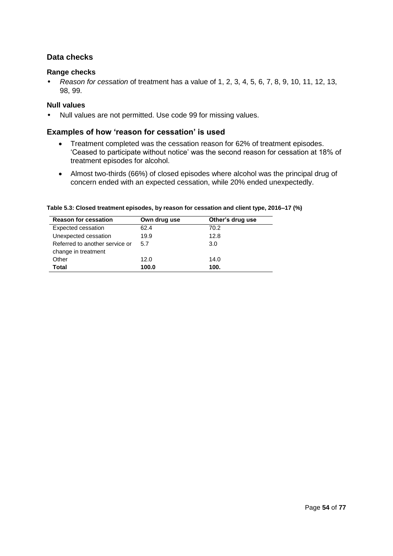### **Data checks**

#### **Range checks**

• *Reason for cessation* of treatment has a value of 1, 2, 3, 4, 5, 6, 7, 8, 9, 10, 11, 12, 13, 98, 99.

#### **Null values**

• Null values are not permitted. Use code 99 for missing values.

#### **Examples of how 'reason for cessation' is used**

- Treatment completed was the cessation reason for 62% of treatment episodes. 'Ceased to participate without notice' was the second reason for cessation at 18% of treatment episodes for alcohol.
- Almost two-thirds (66%) of closed episodes where alcohol was the principal drug of concern ended with an expected cessation, while 20% ended unexpectedly.

| <b>Reason for cessation</b>    | Own drug use | Other's drug use |  |  |
|--------------------------------|--------------|------------------|--|--|
| Expected cessation             | 62.4         | 70.2             |  |  |
| Unexpected cessation           | 19.9         | 12.8             |  |  |
| Referred to another service or | 5.7          | 3.0              |  |  |
| change in treatment            |              |                  |  |  |
| Other                          | 12.0         | 14.0             |  |  |
| Total                          | 100.0        | 100.             |  |  |

**Table 5.3: Closed treatment episodes, by reason for cessation and client type, 2016–17 (%)**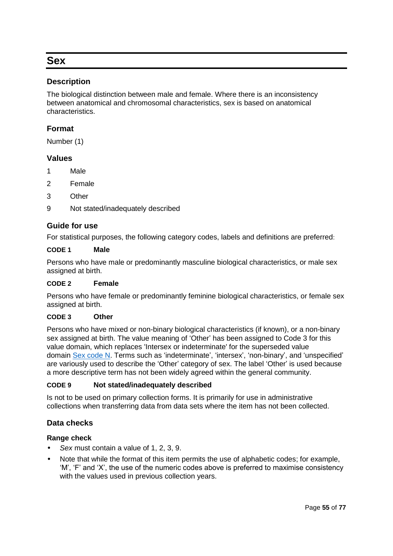# **Sex**

### **Description**

The biological distinction between male and female. Where there is an inconsistency between anatomical and chromosomal characteristics, sex is based on anatomical characteristics.

### **Format**

Number (1)

### **Values**

- 1 Male
- 2 Female
- 3 Other
- 9 Not stated/inadequately described

#### **Guide for use**

For statistical purposes, the following category codes, labels and definitions are preferred:

#### **CODE 1 Male**

Persons who have male or predominantly masculine biological characteristics, or male sex assigned at birth.

#### **CODE 2 Female**

Persons who have female or predominantly feminine biological characteristics, or female sex assigned at birth.

#### **CODE 3 Other**

Persons who have mixed or non-binary biological characteristics (if known), or a non-binary sex assigned at birth. The value meaning of 'Other' has been assigned to Code 3 for this value domain, which replaces 'Intersex or indeterminate' for the superseded value domain [Sex code N.](http://meteor.aihw.gov.au/content/index.phtml/itemId/270807) Terms such as 'indeterminate', 'intersex', 'non-binary', and 'unspecified' are variously used to describe the 'Other' category of sex. The label 'Other' is used because a more descriptive term has not been widely agreed within the general community.

#### **CODE 9 Not stated/inadequately described**

Is not to be used on primary collection forms. It is primarily for use in administrative collections when transferring data from data sets where the item has not been collected.

#### **Data checks**

#### **Range check**

- *Sex* must contain a value of 1, 2, 3, 9.
- Note that while the format of this item permits the use of alphabetic codes; for example, 'M', 'F' and 'X', the use of the numeric codes above is preferred to maximise consistency with the values used in previous collection years.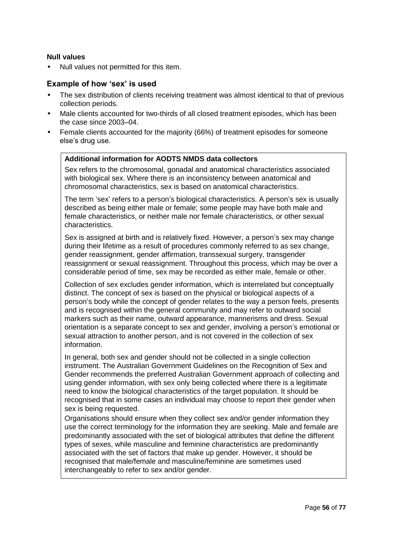#### **Null values**

• Null values not permitted for this item.

#### **Example of how 'sex' is used**

- The sex distribution of clients receiving treatment was almost identical to that of previous collection periods.
- Male clients accounted for two-thirds of all closed treatment episodes, which has been the case since 2003–04.
- Female clients accounted for the majority (66%) of treatment episodes for someone else's drug use.

### **Additional information for AODTS NMDS data collectors**

Sex refers to the chromosomal, gonadal and anatomical characteristics associated with biological sex. Where there is an inconsistency between anatomical and chromosomal characteristics, sex is based on anatomical characteristics.

The term 'sex' refers to a person's biological characteristics. A person's sex is usually described as being either male or female; some people may have both male and female characteristics, or neither male nor female characteristics, or other sexual characteristics.

Sex is assigned at birth and is relatively fixed. However, a person's sex may change during their lifetime as a result of procedures commonly referred to as sex change, gender reassignment, gender affirmation, transsexual surgery, transgender reassignment or sexual reassignment. Throughout this process, which may be over a considerable period of time, sex may be recorded as either male, female or other.

Collection of sex excludes gender information, which is interrelated but conceptually distinct. The concept of sex is based on the physical or biological aspects of a person's body while the concept of gender relates to the way a person feels, presents and is recognised within the general community and may refer to outward social markers such as their name, outward appearance, mannerisms and dress. Sexual orientation is a separate concept to sex and gender, involving a person's emotional or sexual attraction to another person, and is not covered in the collection of sex information.

In general, both sex and gender should not be collected in a single collection instrument. The Australian Government Guidelines on the Recognition of Sex and Gender recommends the preferred Australian Government approach of collecting and using gender information, with sex only being collected where there is a legitimate need to know the biological characteristics of the target population. It should be recognised that in some cases an individual may choose to report their gender when sex is being requested.

Organisations should ensure when they collect sex and/or gender information they use the correct terminology for the information they are seeking. Male and female are predominantly associated with the set of biological attributes that define the different types of sexes, while masculine and feminine characteristics are predominantly associated with the set of factors that make up gender. However, it should be recognised that male/female and masculine/feminine are sometimes used interchangeably to refer to sex and/or gender.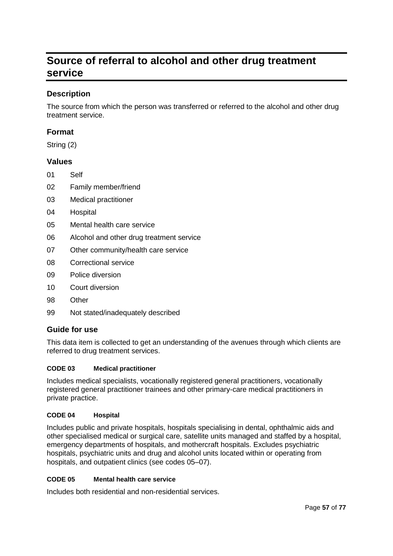# **Source of referral to alcohol and other drug treatment service**

### **Description**

The source from which the person was transferred or referred to the alcohol and other drug treatment service.

### **Format**

String (2)

### **Values**

- 01 Self
- 02 Family member/friend
- 03 Medical practitioner
- 04 Hospital
- 05 Mental health care service
- 06 Alcohol and other drug treatment service
- 07 Other community/health care service
- 08 Correctional service
- 09 Police diversion
- 10 Court diversion
- 98 Other
- 99 Not stated/inadequately described

#### **Guide for use**

This data item is collected to get an understanding of the avenues through which clients are referred to drug treatment services.

#### **CODE 03 Medical practitioner**

Includes medical specialists, vocationally registered general practitioners, vocationally registered general practitioner trainees and other primary-care medical practitioners in private practice.

#### **CODE 04 Hospital**

Includes public and private hospitals, hospitals specialising in dental, ophthalmic aids and other specialised medical or surgical care, satellite units managed and staffed by a hospital, emergency departments of hospitals, and mothercraft hospitals. Excludes psychiatric hospitals, psychiatric units and drug and alcohol units located within or operating from hospitals, and outpatient clinics (see codes 05–07).

#### **CODE 05 Mental health care service**

Includes both residential and non-residential services.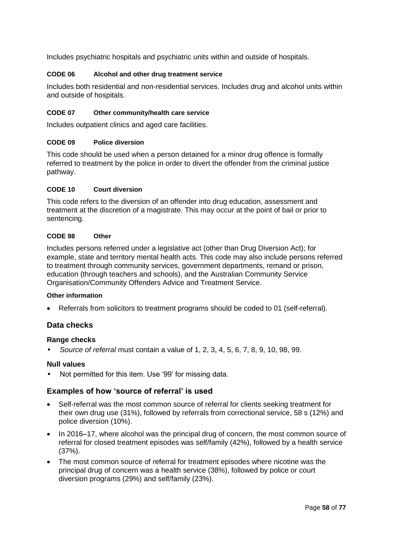Includes psychiatric hospitals and psychiatric units within and outside of hospitals.

#### **CODE 06 Alcohol and other drug treatment service**

Includes both residential and non-residential services. Includes drug and alcohol units within and outside of hospitals.

#### **CODE 07 Other community/health care service**

Includes outpatient clinics and aged care facilities.

#### **CODE 09 Police diversion**

This code should be used when a person detained for a minor drug offence is formally referred to treatment by the police in order to divert the offender from the criminal justice pathway.

#### **CODE 10 Court diversion**

This code refers to the diversion of an offender into drug education, assessment and treatment at the discretion of a magistrate. This may occur at the point of bail or prior to sentencing.

#### **CODE 98 Other**

Includes persons referred under a legislative act (other than Drug Diversion Act); for example, state and territory mental health acts. This code may also include persons referred to treatment through community services, government departments, remand or prison, education (through teachers and schools), and the Australian Community Service Organisation/Community Offenders Advice and Treatment Service.

#### **Other information**

Referrals from solicitors to treatment programs should be coded to 01 (self-referral).

#### **Data checks**

#### **Range checks**

• *Source of referral* must contain a value of 1, 2, 3, 4, 5, 6, 7, 8, 9, 10, 98, 99.

#### **Null values**

Not permitted for this item. Use '99' for missing data.

#### **Examples of how 'source of referral' is used**

- Self-referral was the most common source of referral for clients seeking treatment for their own drug use (31%), followed by referrals from correctional service, 58 s (12%) and police diversion (10%).
- In 2016–17, where alcohol was the principal drug of concern, the most common source of referral for closed treatment episodes was self/family (42%), followed by a health service (37%).
- The most common source of referral for treatment episodes where nicotine was the principal drug of concern was a health service (38%), followed by police or court diversion programs (29%) and self/family (23%).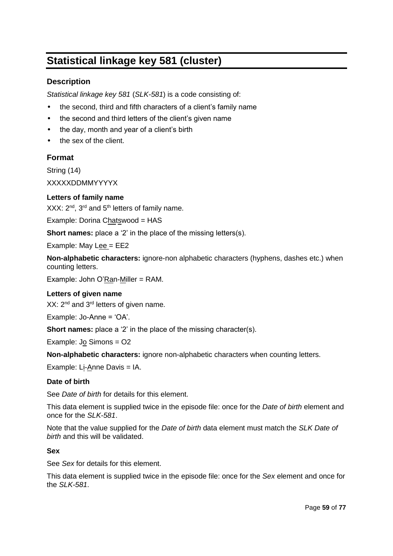# **Statistical linkage key 581 (cluster)**

### **Description**

*Statistical linkage key 581* (*SLK-581*) is a code consisting of:

- the second, third and fifth characters of a client's family name
- the second and third letters of the client's given name
- the day, month and year of a client's birth
- the sex of the client.

### **Format**

String (14)

XXXXXDDMMYYYYX

#### **Letters of family name**

XXX: 2<sup>nd</sup>, 3<sup>rd</sup> and 5<sup>th</sup> letters of family name.

Example: Dorina Chatswood = HAS

**Short names:** place a '2' in the place of the missing letters(s).

Example: May Lee = EE2

**Non-alphabetic characters:** ignore-non alphabetic characters (hyphens, dashes etc.) when counting letters.

Example: John O'Ran-Miller = RAM.

#### **Letters of given name**

XX: 2<sup>nd</sup> and 3<sup>rd</sup> letters of given name.

Example: Jo-Anne = 'OA'.

**Short names:** place a '2' in the place of the missing character(s).

Example: Jo Simons = O2

**Non-alphabetic characters:** ignore non-alphabetic characters when counting letters.

Example: Li-Anne Davis = IA.

#### **Date of birth**

See *Date of birth* for details for this element.

This data element is supplied twice in the episode file: once for the *Date of birth* element and once for the *SLK-581*.

Note that the value supplied for the *Date of birth* data element must match the *SLK Date of birth* and this will be validated.

#### **Sex**

See *Sex* for details for this element.

This data element is supplied twice in the episode file: once for the *Sex* element and once for the *SLK-581*.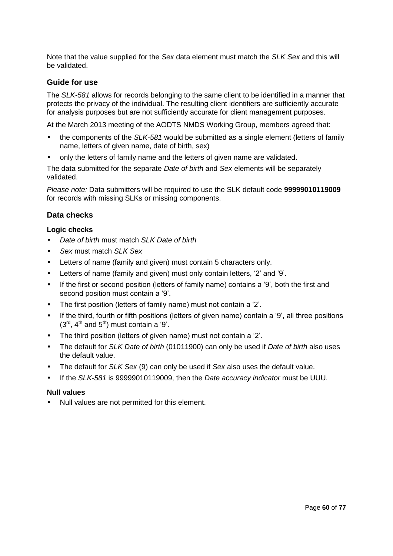Note that the value supplied for the *Sex* data element must match the *SLK Sex* and this will be validated.

#### **Guide for use**

The *SLK-581* allows for records belonging to the same client to be identified in a manner that protects the privacy of the individual. The resulting client identifiers are sufficiently accurate for analysis purposes but are not sufficiently accurate for client management purposes.

At the March 2013 meeting of the AODTS NMDS Working Group, members agreed that:

- the components of the *SLK-581* would be submitted as a single element (letters of family name, letters of given name, date of birth, sex)
- only the letters of family name and the letters of given name are validated.

The data submitted for the separate *Date of birth* and *Sex* elements will be separately validated.

*Please note:* Data submitters will be required to use the SLK default code **99999010119009**  for records with missing SLKs or missing components.

#### **Data checks**

#### **Logic checks**

- *Date of birth* must match *SLK Date of birth*
- *Sex* must match *SLK Sex*
- Letters of name (family and given) must contain 5 characters only.
- Letters of name (family and given) must only contain letters, '2' and '9'.
- If the first or second position (letters of family name) contains a '9', both the first and second position must contain a '9'.
- The first position (letters of family name) must not contain a '2'.
- If the third, fourth or fifth positions (letters of given name) contain a '9', all three positions  $(3<sup>rd</sup>, 4<sup>th</sup>$  and  $5<sup>th</sup>$ ) must contain a '9'.
- The third position (letters of given name) must not contain a '2'.
- The default for *SLK Date of birth* (01011900) can only be used if *Date of birth* also uses the default value.
- The default for *SLK Sex* (9) can only be used if *Sex* also uses the default value.
- If the *SLK-581* is 99999010119009, then the *Date accuracy indicator* must be UUU.

#### **Null values**

• Null values are not permitted for this element.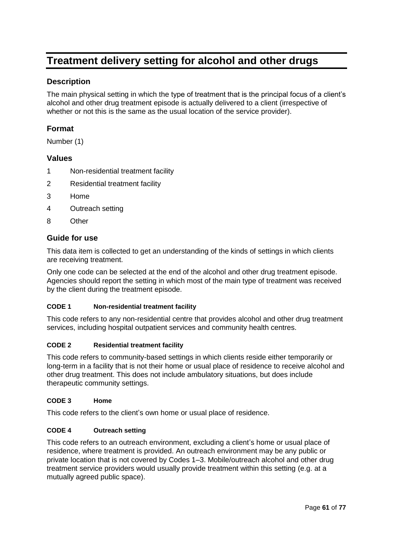# **Treatment delivery setting for alcohol and other drugs**

### **Description**

The main physical setting in which the type of treatment that is the principal focus of a client's alcohol and other drug treatment episode is actually delivered to a client (irrespective of whether or not this is the same as the usual location of the service provider).

### **Format**

Number (1)

### **Values**

- 1 Non-residential treatment facility
- 2 Residential treatment facility
- 3 Home
- 4 Outreach setting
- 8 Other

### **Guide for use**

This data item is collected to get an understanding of the kinds of settings in which clients are receiving treatment.

Only one code can be selected at the end of the alcohol and other drug treatment episode. Agencies should report the setting in which most of the main type of treatment was received by the client during the treatment episode.

#### **CODE 1 Non-residential treatment facility**

This code refers to any non-residential centre that provides alcohol and other drug treatment services, including hospital outpatient services and community health centres.

#### **CODE 2 Residential treatment facility**

This code refers to community-based settings in which clients reside either temporarily or long-term in a facility that is not their home or usual place of residence to receive alcohol and other drug treatment. This does not include ambulatory situations, but does include therapeutic community settings.

#### **CODE 3 Home**

This code refers to the client's own home or usual place of residence.

#### **CODE 4 Outreach setting**

This code refers to an outreach environment, excluding a client's home or usual place of residence, where treatment is provided. An outreach environment may be any public or private location that is not covered by Codes 1–3. Mobile/outreach alcohol and other drug treatment service providers would usually provide treatment within this setting (e.g. at a mutually agreed public space).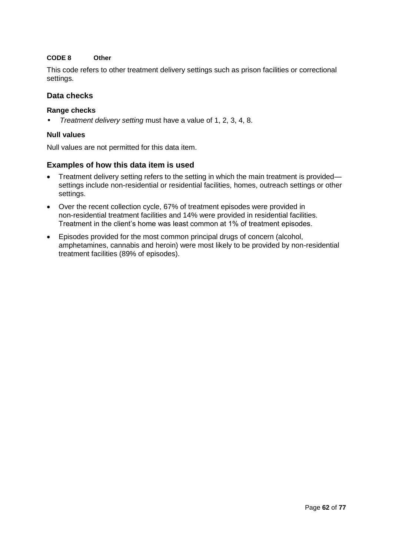#### **CODE 8 Other**

This code refers to other treatment delivery settings such as prison facilities or correctional settings.

### **Data checks**

#### **Range checks**

• *Treatment delivery setting* must have a value of 1, 2, 3, 4, 8.

#### **Null values**

Null values are not permitted for this data item.

### **Examples of how this data item is used**

- Treatment delivery setting refers to the setting in which the main treatment is provided settings include non-residential or residential facilities, homes, outreach settings or other settings.
- Over the recent collection cycle, 67% of treatment episodes were provided in non-residential treatment facilities and 14% were provided in residential facilities. Treatment in the client's home was least common at 1% of treatment episodes.
- Episodes provided for the most common principal drugs of concern (alcohol, amphetamines, cannabis and heroin) were most likely to be provided by non-residential treatment facilities (89% of episodes).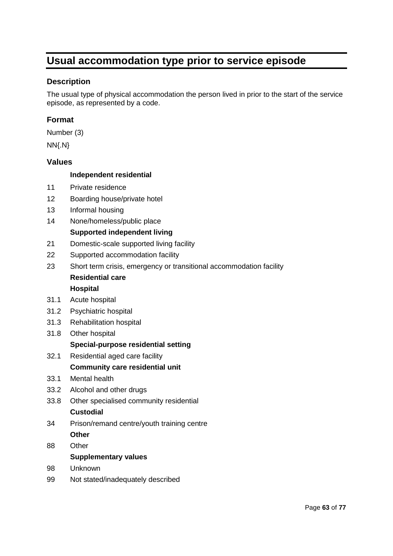# **Usual accommodation type prior to service episode**

### **Description**

The usual type of physical accommodation the person lived in prior to the start of the service episode, as represented by a code.

### **Format**

Number (3)

NN{.N}

#### **Values**

#### **Independent residential**

- 11 Private residence
- 12 Boarding house/private hotel
- 13 Informal housing
- 14 None/homeless/public place

#### **Supported independent living**

- 21 Domestic-scale supported living facility
- 22 Supported accommodation facility
- 23 Short term crisis, emergency or transitional accommodation facility **Residential care**

#### **Hospital**

- 31.1 Acute hospital
- 31.2 Psychiatric hospital
- 31.3 Rehabilitation hospital
- 31.8 Other hospital

#### **Special-purpose residential setting**

32.1 Residential aged care facility

#### **Community care residential unit**

- 33.1 Mental health
- 33.2 Alcohol and other drugs
- 33.8 Other specialised community residential **Custodial**
- 34 Prison/remand centre/youth training centre **Other**
- 88 Other **Supplementary values**
- 98 Unknown
- 99 Not stated/inadequately described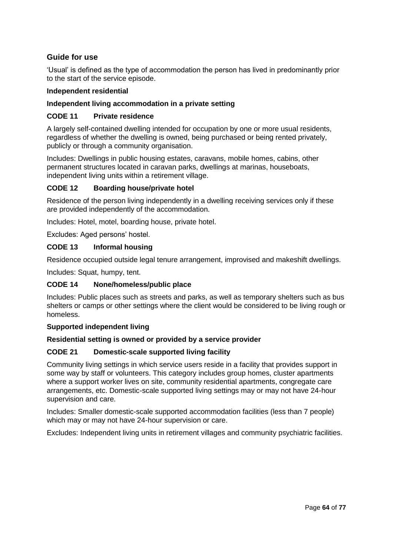### **Guide for use**

'Usual' is defined as the type of accommodation the person has lived in predominantly prior to the start of the service episode.

#### **Independent residential**

#### **Independent living accommodation in a private setting**

#### **CODE 11 Private residence**

A largely self-contained dwelling intended for occupation by one or more usual residents, regardless of whether the dwelling is owned, being purchased or being rented privately, publicly or through a community organisation.

Includes: Dwellings in public housing estates, caravans, mobile homes, cabins, other permanent structures located in caravan parks, dwellings at marinas, houseboats, independent living units within a retirement village.

#### **CODE 12 Boarding house/private hotel**

Residence of the person living independently in a dwelling receiving services only if these are provided independently of the accommodation.

Includes: Hotel, motel, boarding house, private hotel.

Excludes: Aged persons' hostel.

#### **CODE 13 Informal housing**

Residence occupied outside legal tenure arrangement, improvised and makeshift dwellings.

Includes: Squat, humpy, tent.

### **CODE 14 None/homeless/public place**

Includes: Public places such as streets and parks, as well as temporary shelters such as bus shelters or camps or other settings where the client would be considered to be living rough or homeless.

#### **Supported independent living**

#### **Residential setting is owned or provided by a service provider**

#### **CODE 21 Domestic-scale supported living facility**

Community living settings in which service users reside in a facility that provides support in some way by staff or volunteers. This category includes group homes, cluster apartments where a support worker lives on site, community residential apartments, congregate care arrangements, etc. Domestic-scale supported living settings may or may not have 24-hour supervision and care.

Includes: Smaller domestic-scale supported accommodation facilities (less than 7 people) which may or may not have 24-hour supervision or care.

Excludes: Independent living units in retirement villages and community psychiatric facilities.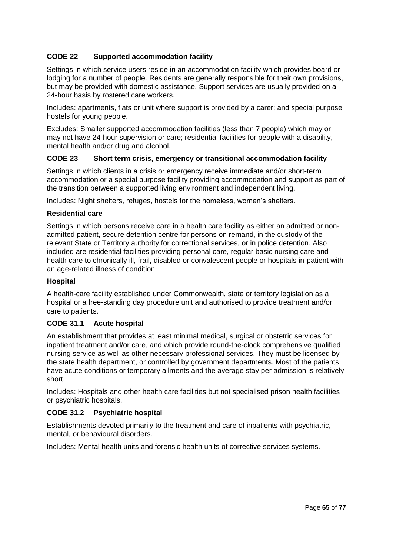### **CODE 22 Supported accommodation facility**

Settings in which service users reside in an accommodation facility which provides board or lodging for a number of people. Residents are generally responsible for their own provisions, but may be provided with domestic assistance. Support services are usually provided on a 24-hour basis by rostered care workers.

Includes: apartments, flats or unit where support is provided by a carer; and special purpose hostels for young people.

Excludes: Smaller supported accommodation facilities (less than 7 people) which may or may not have 24-hour supervision or care; residential facilities for people with a disability, mental health and/or drug and alcohol.

#### **CODE 23 Short term crisis, emergency or transitional accommodation facility**

Settings in which clients in a crisis or emergency receive immediate and/or short-term accommodation or a special purpose facility providing accommodation and support as part of the transition between a supported living environment and independent living.

Includes: Night shelters, refuges, hostels for the homeless, women's shelters.

#### **Residential care**

Settings in which persons receive care in a health care facility as either an admitted or nonadmitted patient, secure detention centre for persons on remand, in the custody of the relevant State or Territory authority for correctional services, or in police detention. Also included are residential facilities providing personal care, regular basic nursing care and health care to chronically ill, frail, disabled or convalescent people or hospitals in-patient with an age-related illness of condition.

#### **Hospital**

A health-care facility established under Commonwealth, state or territory legislation as a hospital or a free-standing day procedure unit and authorised to provide treatment and/or care to patients.

#### **CODE 31.1 Acute hospital**

An establishment that provides at least minimal medical, surgical or obstetric services for inpatient treatment and/or care, and which provide round-the-clock comprehensive qualified nursing service as well as other necessary professional services. They must be licensed by the state health department, or controlled by government departments. Most of the patients have acute conditions or temporary ailments and the average stay per admission is relatively short.

Includes: Hospitals and other health care facilities but not specialised prison health facilities or psychiatric hospitals.

#### **CODE 31.2 Psychiatric hospital**

Establishments devoted primarily to the treatment and care of inpatients with psychiatric, mental, or behavioural disorders.

Includes: Mental health units and forensic health units of corrective services systems.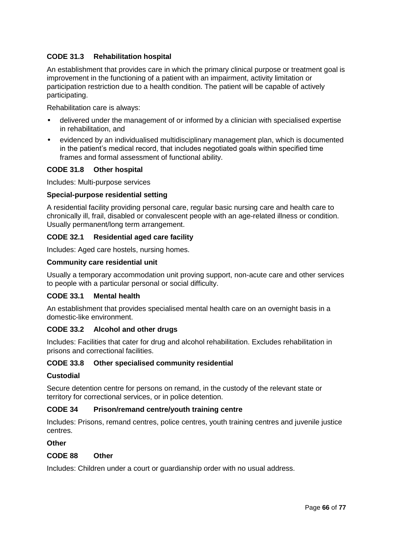### **CODE 31.3 Rehabilitation hospital**

An establishment that provides care in which the primary clinical purpose or treatment goal is improvement in the functioning of a patient with an impairment, activity limitation or participation restriction due to a health condition. The patient will be capable of actively participating.

Rehabilitation care is always:

- delivered under the management of or informed by a clinician with specialised expertise in rehabilitation, and
- evidenced by an individualised multidisciplinary management plan, which is documented in the patient's medical record, that includes negotiated goals within specified time frames and formal assessment of functional ability.

### **CODE 31.8 Other hospital**

Includes: Multi-purpose services

#### **Special-purpose residential setting**

A residential facility providing personal care, regular basic nursing care and health care to chronically ill, frail, disabled or convalescent people with an age-related illness or condition. Usually permanent/long term arrangement.

#### **CODE 32.1 Residential aged care facility**

Includes: Aged care hostels, nursing homes.

#### **Community care residential unit**

Usually a temporary accommodation unit proving support, non-acute care and other services to people with a particular personal or social difficulty.

#### **CODE 33.1 Mental health**

An establishment that provides specialised mental health care on an overnight basis in a domestic-like environment.

#### **CODE 33.2 Alcohol and other drugs**

Includes: Facilities that cater for drug and alcohol rehabilitation. Excludes rehabilitation in prisons and correctional facilities.

#### **CODE 33.8 Other specialised community residential**

#### **Custodial**

Secure detention centre for persons on remand, in the custody of the relevant state or territory for correctional services, or in police detention.

#### **CODE 34 Prison/remand centre/youth training centre**

Includes: Prisons, remand centres, police centres, youth training centres and juvenile justice centres.

#### **Other**

#### **CODE 88 Other**

Includes: Children under a court or guardianship order with no usual address.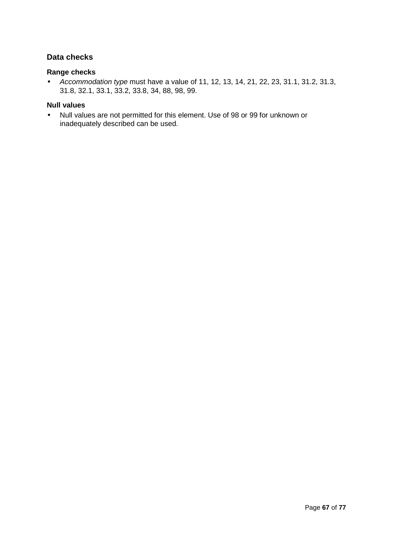### **Data checks**

#### **Range checks**

• *Accommodation type* must have a value of 11, 12, 13, 14, 21, 22, 23, 31.1, 31.2, 31.3, 31.8, 32.1, 33.1, 33.2, 33.8, 34, 88, 98, 99.

#### **Null values**

• Null values are not permitted for this element. Use of 98 or 99 for unknown or inadequately described can be used.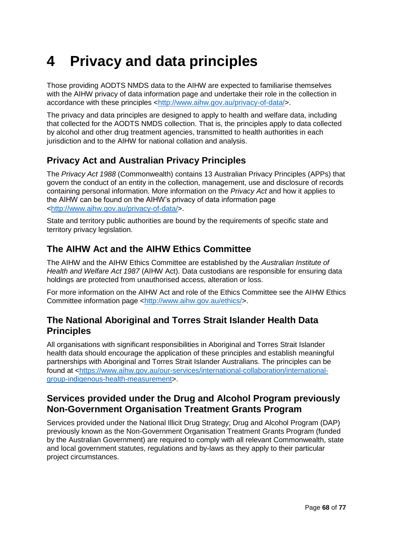# **4 Privacy and data principles**

Those providing AODTS NMDS data to the AIHW are expected to familiarise themselves with the AIHW privacy of data information page and undertake their role in the collection in accordance with these principles [<http://www.aihw.gov.au/privacy-of-data/>](http://www.aihw.gov.au/privacy-of-data/).

The privacy and data principles are designed to apply to health and welfare data, including that collected for the AODTS NMDS collection. That is, the principles apply to data collected by alcohol and other drug treatment agencies, transmitted to health authorities in each jurisdiction and to the AIHW for national collation and analysis.

# **Privacy Act and Australian Privacy Principles**

The *Privacy Act 1988* (Commonwealth) contains 13 Australian Privacy Principles (APPs) that govern the conduct of an entity in the collection, management, use and disclosure of records containing personal information. More information on the *Privacy Act* and how it applies to the AIHW can be found on the AIHW's privacy of data information page [<http://www.aihw.gov.au/privacy-of-data/>](http://www.aihw.gov.au/privacy-of-data/).

State and territory public authorities are bound by the requirements of specific state and territory privacy legislation.

### **The AIHW Act and the AIHW Ethics Committee**

The AIHW and the AIHW Ethics Committee are established by the *Australian Institute of Health and Welfare Act 1987* (AIHW Act). Data custodians are responsible for ensuring data holdings are protected from unauthorised access, alteration or loss.

For more information on the AIHW Act and role of the Ethics Committee see the AIHW Ethics Committee information page [<http://www.aihw.gov.au/ethics/>](http://www.aihw.gov.au/ethics/).

### **The National Aboriginal and Torres Strait Islander Health Data Principles**

All organisations with significant responsibilities in Aboriginal and Torres Strait Islander health data should encourage the application of these principles and establish meaningful partnerships with Aboriginal and Torres Strait Islander Australians. The principles can be found at [<https://www.aihw.gov.au/our-services/international-collaboration/international](https://www.aihw.gov.au/our-services/international-collaboration/international-group-indigenous-health-measurement)[group-indigenous-health-measurement>](https://www.aihw.gov.au/our-services/international-collaboration/international-group-indigenous-health-measurement).

# **Services provided under the Drug and Alcohol Program previously Non-Government Organisation Treatment Grants Program**

Services provided under the National Illicit Drug Strategy; Drug and Alcohol Program (DAP) previously known as the Non-Government Organisation Treatment Grants Program (funded by the Australian Government) are required to comply with all relevant Commonwealth, state and local government statutes, regulations and by-laws as they apply to their particular project circumstances.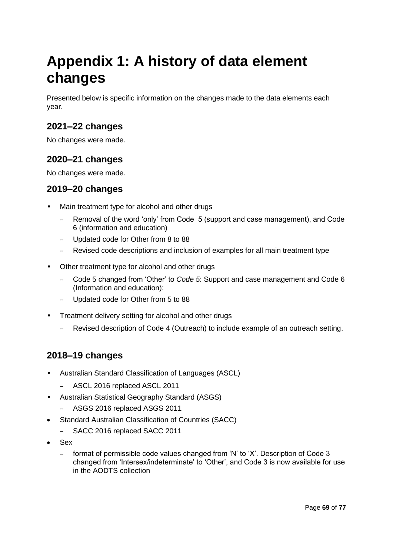# **Appendix 1: A history of data element changes**

Presented below is specific information on the changes made to the data elements each year.

# **2021–22 changes**

No changes were made.

# **2020–21 changes**

No changes were made.

# **2019–20 changes**

- Main treatment type for alcohol and other drugs
	- Removal of the word 'only' from Code 5 (support and case management), and Code 6 (information and education)
	- Updated code for Other from 8 to 88
	- Revised code descriptions and inclusion of examples for all main treatment type
- Other treatment type for alcohol and other drugs
	- Code 5 changed from 'Other' to *Code 5*: Support and case management and Code 6 (Information and education):
	- Updated code for Other from 5 to 88
- Treatment delivery setting for alcohol and other drugs
	- Revised description of Code 4 (Outreach) to include example of an outreach setting.

# **2018–19 changes**

- Australian Standard Classification of Languages (ASCL)
	- ASCL 2016 replaced ASCL 2011
- Australian Statistical Geography Standard (ASGS)
	- ASGS 2016 replaced ASGS 2011
- Standard Australian Classification of Countries (SACC)
	- SACC 2016 replaced SACC 2011
- Sex
	- format of permissible code values changed from 'N' to 'X'. Description of Code 3 changed from 'Intersex/indeterminate' to 'Other', and Code 3 is now available for use in the AODTS collection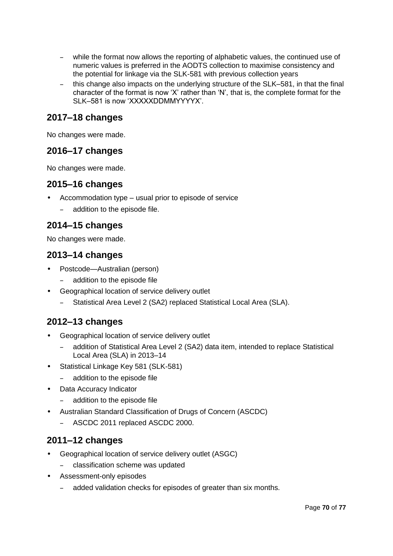- while the format now allows the reporting of alphabetic values, the continued use of numeric values is preferred in the AODTS collection to maximise consistency and the potential for linkage via the SLK-581 with previous collection years
- this change also impacts on the underlying structure of the SLK–581, in that the final character of the format is now 'X' rather than 'N', that is, the complete format for the SLK–581 is now 'XXXXXDDMMYYYYX'.

## **2017–18 changes**

No changes were made.

## **2016–17 changes**

No changes were made.

#### **2015–16 changes**

- Accommodation type usual prior to episode of service
	- addition to the episode file.

## **2014–15 changes**

No changes were made.

## **2013–14 changes**

- Postcode—Australian (person)
	- addition to the episode file
- Geographical location of service delivery outlet
	- Statistical Area Level 2 (SA2) replaced Statistical Local Area (SLA).

## **2012–13 changes**

- Geographical location of service delivery outlet
	- addition of Statistical Area Level 2 (SA2) data item, intended to replace Statistical Local Area (SLA) in 2013–14
- Statistical Linkage Key 581 (SLK-581)
	- addition to the episode file
- Data Accuracy Indicator
	- addition to the episode file
- Australian Standard Classification of Drugs of Concern (ASCDC)
	- ASCDC 2011 replaced ASCDC 2000.

## **2011–12 changes**

- Geographical location of service delivery outlet (ASGC)
	- classification scheme was updated
- Assessment-only episodes
	- added validation checks for episodes of greater than six months.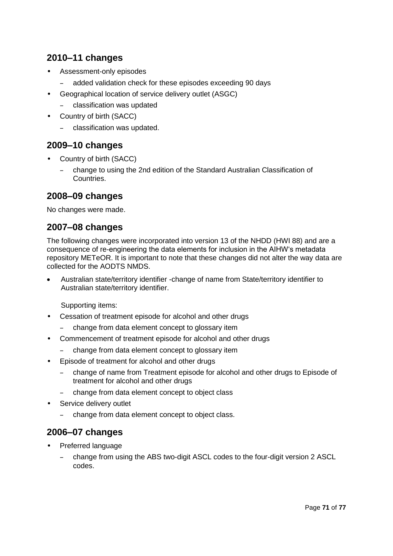# **2010–11 changes**

- Assessment-only episodes
	- added validation check for these episodes exceeding 90 days
- Geographical location of service delivery outlet (ASGC)
	- classification was updated
- Country of birth (SACC)
	- classification was updated.

#### **2009–10 changes**

- Country of birth (SACC)
	- change to using the 2nd edition of the Standard Australian Classification of Countries.

#### **2008–09 changes**

No changes were made.

#### **2007–08 changes**

The following changes were incorporated into version 13 of the NHDD (HWI 88) and are a consequence of re-engineering the data elements for inclusion in the AIHW's metadata repository METeOR. It is important to note that these changes did not alter the way data are collected for the AODTS NMDS.

 Australian state/territory identifier -change of name from State/territory identifier to Australian state/territory identifier.

Supporting items:

- Cessation of treatment episode for alcohol and other drugs
	- change from data element concept to glossary item
- Commencement of treatment episode for alcohol and other drugs
	- change from data element concept to glossary item
- Episode of treatment for alcohol and other drugs
	- change of name from Treatment episode for alcohol and other drugs to Episode of treatment for alcohol and other drugs
	- change from data element concept to object class
- Service delivery outlet
	- change from data element concept to object class.

## **2006–07 changes**

- Preferred language
	- change from using the ABS two-digit ASCL codes to the four-digit version 2 ASCL codes.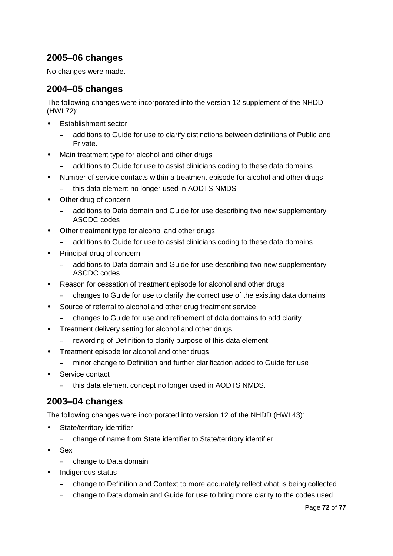# **2005–06 changes**

No changes were made.

## **2004–05 changes**

The following changes were incorporated into the version 12 supplement of the NHDD (HWI 72):

- Establishment sector
	- additions to Guide for use to clarify distinctions between definitions of Public and Private.
- Main treatment type for alcohol and other drugs
	- additions to Guide for use to assist clinicians coding to these data domains
- Number of service contacts within a treatment episode for alcohol and other drugs
	- this data element no longer used in AODTS NMDS
- Other drug of concern
	- additions to Data domain and Guide for use describing two new supplementary ASCDC codes
- Other treatment type for alcohol and other drugs
	- additions to Guide for use to assist clinicians coding to these data domains
- Principal drug of concern
	- additions to Data domain and Guide for use describing two new supplementary ASCDC codes
- Reason for cessation of treatment episode for alcohol and other drugs
	- changes to Guide for use to clarify the correct use of the existing data domains
- Source of referral to alcohol and other drug treatment service
	- changes to Guide for use and refinement of data domains to add clarity
- Treatment delivery setting for alcohol and other drugs
	- rewording of Definition to clarify purpose of this data element
- Treatment episode for alcohol and other drugs
	- minor change to Definition and further clarification added to Guide for use
- Service contact
	- this data element concept no longer used in AODTS NMDS.

## **2003–04 changes**

The following changes were incorporated into version 12 of the NHDD (HWI 43):

- State/territory identifier
	- change of name from State identifier to State/territory identifier
- Sex
	- change to Data domain
- Indigenous status
	- change to Definition and Context to more accurately reflect what is being collected
	- change to Data domain and Guide for use to bring more clarity to the codes used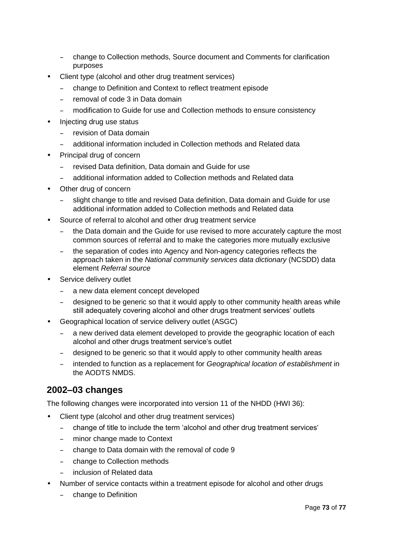- change to Collection methods, Source document and Comments for clarification purposes
- Client type (alcohol and other drug treatment services)
	- change to Definition and Context to reflect treatment episode
	- removal of code 3 in Data domain
	- modification to Guide for use and Collection methods to ensure consistency
- Injecting drug use status
	- revision of Data domain
	- additional information included in Collection methods and Related data
- Principal drug of concern
	- revised Data definition, Data domain and Guide for use
	- additional information added to Collection methods and Related data
- Other drug of concern
	- slight change to title and revised Data definition, Data domain and Guide for use additional information added to Collection methods and Related data
- Source of referral to alcohol and other drug treatment service
	- the Data domain and the Guide for use revised to more accurately capture the most common sources of referral and to make the categories more mutually exclusive
	- the separation of codes into Agency and Non-agency categories reflects the approach taken in the *National community services data dictionary* (NCSDD) data element *Referral source*
- Service delivery outlet
	- a new data element concept developed
	- designed to be generic so that it would apply to other community health areas while still adequately covering alcohol and other drugs treatment services' outlets
- Geographical location of service delivery outlet (ASGC)
	- a new derived data element developed to provide the geographic location of each alcohol and other drugs treatment service's outlet
	- designed to be generic so that it would apply to other community health areas
	- intended to function as a replacement for *Geographical location of establishment* in the AODTS NMDS.

## **2002–03 changes**

The following changes were incorporated into version 11 of the NHDD (HWI 36):

- Client type (alcohol and other drug treatment services)
	- change of title to include the term 'alcohol and other drug treatment services'
	- minor change made to Context
	- change to Data domain with the removal of code 9
	- change to Collection methods
	- inclusion of Related data
- Number of service contacts within a treatment episode for alcohol and other drugs
	- change to Definition